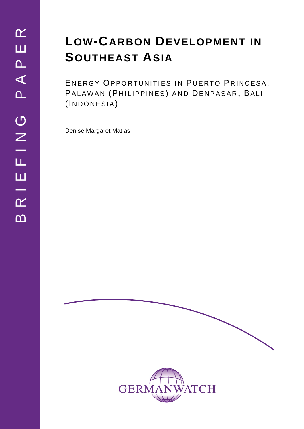# **LOW-CARBON DEVELOPMENT IN SOUTHEAST ASIA**

ENERGY OPPORTUNITIES IN PUERTO PRINCESA, PALAWAN (PHILIPPINES) AND DENPASAR, BALI (INDONESIA)

Denise Margaret Matias



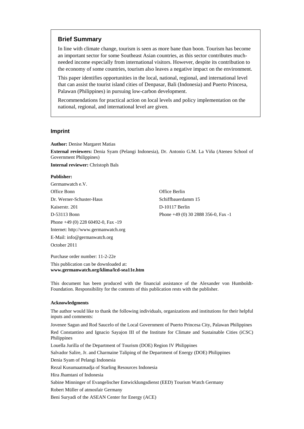### **Brief Summary**

In line with climate change, tourism is seen as more bane than boon. Tourism has become an important sector for some Southeast Asian countries, as this sector contributes muchneeded income especially from international visitors. However, despite its contribution to the economy of some countries, tourism also leaves a negative impact on the environment.

This paper identifies opportunities in the local, national, regional, and international level that can assist the tourist island cities of Denpasar, Bali (Indonesia) and Puerto Princesa, Palawan (Philippines) in pursuing low-carbon development.

Recommendations for practical action on local levels and policy implementation on the national, regional, and international level are given.

#### **Imprint**

**Author: Denise Margaret Matias** 

**External reviewers:** Denia Syam (Pelangi Indonesia), Dr. Antonio G.M. La Viña (Ateneo School of Government Philippines)

**Internal reviewer:** Christoph Bals

#### **Publisher:**

Germanwatch e.V. Office Bonn Office Berlin Dr. Werner-Schuster-Haus Schiffbauerdamm 15 Kaiserstr. 201 D-10117 Berlin D-53113 Bonn Phone +49 (0) 30 2888 356-0, Fax -1 Phone +49 (0) 228 60492-0, Fax -19 Internet: http://www.germanwatch.org E-Mail: info@germanwatch.org October 2011

Purchase order number: 11-2-22e

This publication can be downloaded at: **www.germanwatch.org/klima/lcd-sea11e.htm** 

This document has been produced with the financial assistance of the Alexander von Humboldt-Foundation. Responsibility for the contents of this publication rests with the publisher.

#### **Acknowledgments**

The author would like to thank the following individuals, organizations and institutions for their helpful inputs and comments:

Jovenee Sagun and Rod Saucelo of the Local Government of Puerto Princesa City, Palawan Philippines Red Constantino and Ignacio Sayajon III of the Institute for Climate and Sustainable Cities (iCSC) Philippines Louella Jurilla of the Department of Tourism (DOE) Region IV Philippines Salvador Salire, Jr. and Charmaine Taliping of the Department of Energy (DOE) Philippines Denia Syam of Pelangi Indonesia Rezal Kusumaatmadja of Starling Resources Indonesia Hira Jhamtani of Indonesia Sabine Minninger of Evangelischer Entwicklungsdienst (EED) Tourism Watch Germany Robert Müller of atmosfair Germany Beni Suryadi of the ASEAN Center for Energy (ACE)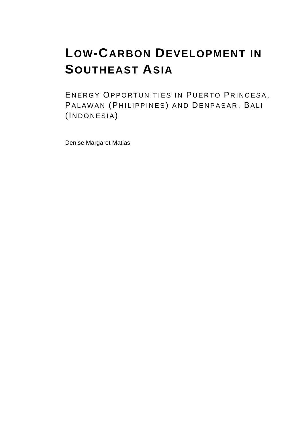# **LOW-CARBON DEVELOPMENT IN SOUTHEAST ASIA**

ENERGY OPPORTUNITIES IN PUERTO PRINCESA, PALAWAN (PHILIPPINES) AND DENPASAR, BALI (INDONESIA)

Denise Margaret Matias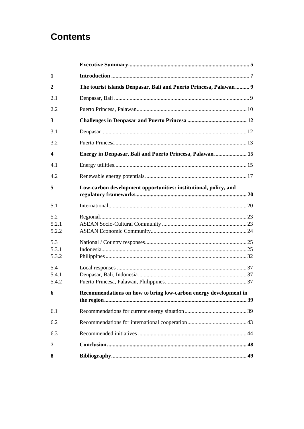# **Contents**

| $\mathbf{1}$            |                                                                   |  |
|-------------------------|-------------------------------------------------------------------|--|
| $\boldsymbol{2}$        | The tourist islands Denpasar, Bali and Puerto Princesa, Palawan 9 |  |
| 2.1                     |                                                                   |  |
| 2.2                     |                                                                   |  |
| 3                       |                                                                   |  |
| 3.1                     |                                                                   |  |
| 3.2                     |                                                                   |  |
| $\overline{\mathbf{4}}$ | Energy in Denpasar, Bali and Puerto Princesa, Palawan 15          |  |
| 4.1                     |                                                                   |  |
| 4.2                     |                                                                   |  |
| 5                       | Low-carbon development opportunities: institutional, policy, and  |  |
| 5.1                     |                                                                   |  |
| 5.2<br>5.2.1<br>5.2.2   |                                                                   |  |
| 5.3<br>5.3.1<br>5.3.2   |                                                                   |  |
| 5.4<br>5.4.1<br>5.4.2   |                                                                   |  |
| 6                       | Recommendations on how to bring low-carbon energy development in  |  |
| 6.1                     |                                                                   |  |
| 6.2                     |                                                                   |  |
| 6.3                     |                                                                   |  |
| 7                       |                                                                   |  |
| 8                       |                                                                   |  |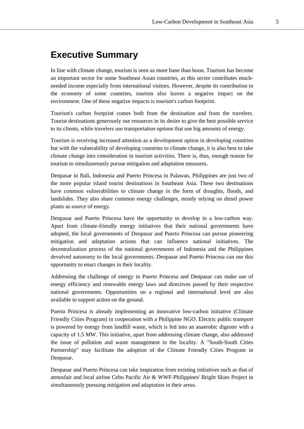# **Executive Summary**

In line with climate change, tourism is seen as more bane than boon. Tourism has become an important sector for some Southeast Asian countries, as this sector contributes muchneeded income especially from international visitors. However, despite its contribution to the economy of some countries, tourism also leaves a negative impact on the environment. One of these negative impacts is tourism's carbon footprint.

Tourism's carbon footprint comes both from the destination and from the travelers. Tourist destinations generously use resources in its desire to give the best possible service to its clients, while travelers use transportation options that use big amounts of energy.

Tourism is receiving increased attention as a development option in developing countries but with the vulnerability of developing countries to climate change, it is also best to take climate change into consideration in tourism activities. There is, thus, enough reason for tourism to simultaneously pursue mitigation and adaptation measures.

Denpasar in Bali, Indonesia and Puerto Princesa in Palawan, Philippines are just two of the more popular island tourist destinations in Southeast Asia. These two destinations have common vulnerabilities to climate change in the form of droughts, floods, and landslides. They also share common energy challenges, mostly relying on diesel power plants as source of energy.

Denpasar and Puerto Princesa have the opportunity to develop in a low-carbon way. Apart from climate-friendly energy initiatives that their national governments have adopted, the local governments of Denpasar and Puerto Princesa can pursue pioneering mitigation and adaptation actions that can influence national initiatives. The decentralization process of the national governments of Indonesia and the Philippines devolved autonomy to the local governments. Denpasar and Puerto Princesa can use this opportunity to enact changes in their locality.

Addressing the challenge of energy in Puerto Princesa and Denpasar can make use of energy efficiency and renewable energy laws and directives passed by their respective national governments. Opportunities on a regional and international level are also available to support action on the ground.

Puerto Princesa is already implementing an innovative low-carbon initiative (Climate Friendly Cities Program) in cooperation with a Philippine NGO. Electric public transport is powered by energy from landfill waste, which is fed into an anaerobic digester with a capacity of 1.5 MW. This initiative, apart from addressing climate change, also addressed the issue of pollution and waste management in the locality. A "South-South Cities Partnership" may facilitate the adoption of the Climate Friendly Cities Program in Denpasar.

Denpasar and Puerto Princesa can take inspiration from existing initiatives such as that of atmosfair and local airline Cebu Pacific Air & WWF-Philippines' Bright Skies Project in simultaneously pursuing mitigation and adaptation in their areas.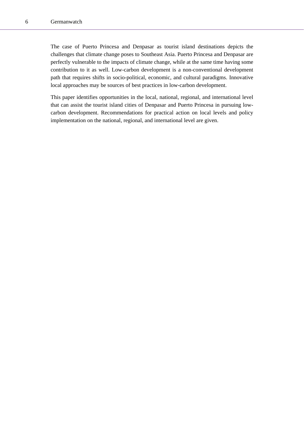The case of Puerto Princesa and Denpasar as tourist island destinations depicts the challenges that climate change poses to Southeast Asia. Puerto Princesa and Denpasar are perfectly vulnerable to the impacts of climate change, while at the same time having some contribution to it as well. Low-carbon development is a non-conventional development path that requires shifts in socio-political, economic, and cultural paradigms. Innovative local approaches may be sources of best practices in low-carbon development.

This paper identifies opportunities in the local, national, regional, and international level that can assist the tourist island cities of Denpasar and Puerto Princesa in pursuing lowcarbon development. Recommendations for practical action on local levels and policy implementation on the national, regional, and international level are given.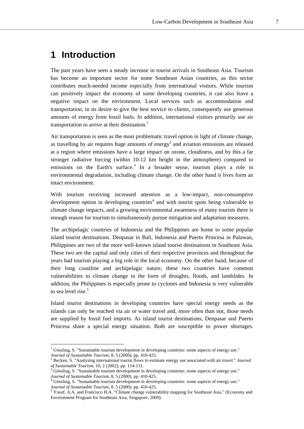# **1 Introduction**

l

The past years have seen a steady increase in tourist arrivals in Southeast Asia. Tourism has become an important sector for some Southeast Asian countries, as this sector contributes much-needed income especially from international visitors. While tourism can positively impact the economy of some developing countries, it can also leave a negative impact on the environment. Local services such as accommodation and transportation, in its desire to give the best service to clients, consequently use generous amounts of energy from fossil fuels. In addition, international visitors primarily use air transportation to arrive at their destination.<sup>1</sup>

Air transportation is seen as the most problematic travel option in light of climate change, as travelling by air requires huge amounts of energy<sup>2</sup> and aviation emissions are released at a region where emissions have a large impact on ozone, cloudiness, and by this a far stronger radiative forcing (within 10-12 km height in the atmosphere) compared to emissions on the Earth's surface.<sup>3</sup> In a broader sense, tourism plays a role in environmental degradation, including climate change. On the other hand it lives form an intact environment.

With tourism receiving increased attention as a low-impact, non-consumptive development option in developing countries<sup>4</sup> and with tourist spots being vulnerable to climate change impacts, and a growing environmental awareness of many tourists there is enough reason for tourism to simultaneously pursue mitigation and adaptation measures.

The archipelagic countries of Indonesia and the Philippines are home to some popular island tourist destinations. Denpasar in Bali, Indonesia and Puerto Princesa in Palawan, Philippines are two of the more well-known island tourist destinations in Southeast Asia. These two are the capital and only cities of their respective provinces and throughout the years had tourism playing a big role in the local economy. On the other hand, because of their long coastline and archipelagic nature, these two countries have common vulnerabilities to climate change in the form of droughts, floods, and landslides. In addition, the Philippines is especially prone to cyclones and Indonesia is very vulnerable to sea level rise.<sup>5</sup>

Island tourist destinations in developing countries have special energy needs as the islands can only be reached via air or water travel and, more often than not, those needs are supplied by fossil fuel imports. As island tourist destinations, Denpasar and Puerto Princesa share a special energy situation. Both are susceptible to power shortages.

<sup>&</sup>lt;sup>1</sup> Gössling, S. "Sustainable tourism development in developing countries: some aspects of energy use." *Journal of Sustainable Tourism*, 8, 5 (2000), pp. 410-425. 2 Becken, S. "Analysing international tourist flows to estimate energy use associated with air travel." *Journal* 

*of Sustainable Tourism*, 10, 2 (2002), pp. 114-131.

Gössling, S. "Sustainable tourism development in developing countries: some aspects of energy use." *Journal of Sustainable Tourism, 8, 5 (2000), pp. 410-425.* 

<sup>&</sup>lt;sup>4</sup> Gössling, S. "Sustainable tourism development in developing countries: some aspects of energy use." *Journal of Sustainable Tourism*, 8, 5 (2000), pp. 410-425.<br><sup>5</sup> Yusuf, A.A. and Francisco H.A. "Climate change vulnerability mapping for Southeast Asia." (Economy and

Environment Program for Southeast Asia, Singapore, 2009).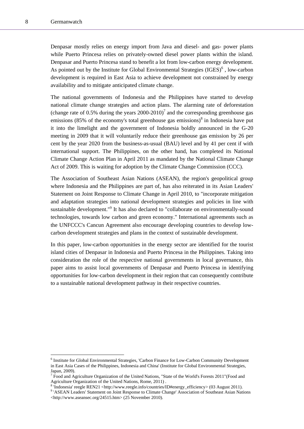l

Denpasar mostly relies on energy import from Java and diesel- and gas- power plants while Puerto Princesa relies on privately-owned diesel power plants within the island. Denpasar and Puerto Princesa stand to benefit a lot from low-carbon energy development. As pointed out by the Institute for Global Environmental Strategies  $(IGES)^6$ , low-carbon development is required in East Asia to achieve development not constrained by energy availability and to mitigate anticipated climate change.

The national governments of Indonesia and the Philippines have started to develop national climate change strategies and action plans. The alarming rate of deforestation (change rate of 0.5% during the years  $2000-2010$ )<sup>7</sup> and the corresponding greenhouse gas emissions (85% of the economy's total greenhouse gas emissions) $\delta$  in Indonesia have put it into the limelight and the government of Indonesia boldly announced in the G-20 meeting in 2009 that it will voluntarily reduce their greenhouse gas emission by 26 per cent by the year 2020 from the business-as-usual (BAU) level and by 41 per cent if with international support. The Philippines, on the other hand, has completed its National Climate Change Action Plan in April 2011 as mandated by the National Climate Change Act of 2009. This is waiting for adoption by the Climate Change Commission (CCC).

The Association of Southeast Asian Nations (ASEAN), the region's geopolitical group where Indonesia and the Philippines are part of, has also reiterated in its Asian Leaders' Statement on Joint Response to Climate Change in April 2010, to "incorporate mitigation and adaptation strategies into national development strategies and policies in line with sustainable development."<sup>9</sup> It has also declared to "collaborate on environmentally-sound technologies, towards low carbon and green economy." International agreements such as the UNFCCC's Cancun Agreement also encourage developing countries to develop lowcarbon development strategies and plans in the context of sustainable development.

In this paper, low-carbon opportunities in the energy sector are identified for the tourist island cities of Denpasar in Indonesia and Puerto Princesa in the Philippines. Taking into consideration the role of the respective national governments in local governance, this paper aims to assist local governments of Denpasar and Puerto Princesa in identifying opportunities for low-carbon development in their region that can consequently contribute to a sustainable national development pathway in their respective countries.

<sup>&</sup>lt;sup>6</sup> Institute for Global Environmental Strategies, 'Carbon Finance for Low-Carbon Community Development in East Asia Cases of the Philippines, Indonesia and China' (Institute for Global Environmental Strategies, Japan, 2009).

<sup>&</sup>lt;sup>7</sup> Food and Agriculture Organization of the United Nations, "State of the World's Forests 2011"(Food and Agriculture Organization of the United Nations, Rome, 2011) .

<sup>8</sup> 'Indonesia' reegle REN21 <http://www.reegle.info/countries/ID#energy\_efficiency> (03 August 2011).

<sup>&</sup>lt;sup>9</sup> 'ASEAN Leaders' Statement on Joint Response to Climate Change' Association of Southeast Asian Nations <http://www.aseansec.org/24515.htm> (25 November 2010).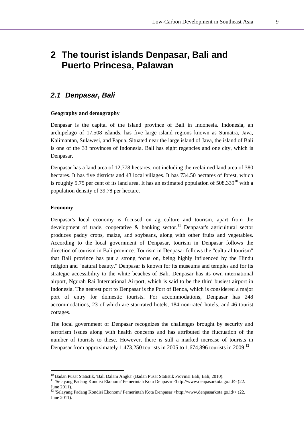# **2 The tourist islands Denpasar, Bali and Puerto Princesa, Palawan**

# *2.1 Denpasar, Bali*

#### **Geography and demography**

Denpasar is the capital of the island province of Bali in Indonesia. Indonesia, an archipelago of 17,508 islands, has five large island regions known as Sumatra, Java, Kalimantan, Sulawesi, and Papua. Situated near the large island of Java, the island of Bali is one of the 33 provinces of Indonesia. Bali has eight regencies and one city, which is Denpasar.

Denpasar has a land area of 12,778 hectares, not including the reclaimed land area of 380 hectares. It has five districts and 43 local villages. It has 734.50 hectares of forest, which is roughly 5.75 per cent of its land area. It has an estimated population of  $508,339^{10}$  with a population density of 39.78 per hectare.

#### **Economy**

l

Denpasar's local economy is focused on agriculture and tourism, apart from the development of trade, cooperative  $\&$  banking sector.<sup>11</sup> Denpasar's agricultural sector produces paddy crops, maize, and soybeans, along with other fruits and vegetables. According to the local government of Denpasar, tourism in Denpasar follows the direction of tourism in Bali province. Tourism in Denpasar follows the "cultural tourism" that Bali province has put a strong focus on, being highly influenced by the Hindu religion and "natural beauty." Denpasar is known for its museums and temples and for its strategic accessibility to the white beaches of Bali. Denpasar has its own international airport, Ngurah Rai International Airport, which is said to be the third busiest airport in Indonesia. The nearest port to Denpasar is the Port of Benoa, which is considered a major port of entry for domestic tourists. For accommodations, Denpasar has 248 accommodations, 23 of which are star-rated hotels, 184 non-rated hotels, and 46 tourist cottages.

The local government of Denpasar recognizes the challenges brought by security and terrorism issues along with health concerns and has attributed the fluctuation of the number of tourists to these. However, there is still a marked increase of tourists in Denpasar from approximately 1,473,250 tourists in 2005 to 1,674,896 tourists in 2009.<sup>12</sup>

<sup>&</sup>lt;sup>10</sup> Badan Pusat Statistik, 'Bali Dalam Angka' (Badan Pusat Statistik Provinsi Bali, Bali, 2010).<br><sup>11</sup> 'Selayang Padang Kondisi Ekonomi' Pemerintah Kota Denpasar <http://www.denpasarkota.go.id/> (22. June 2011).

<sup>&</sup>lt;sup>12</sup> 'Selayang Padang Kondisi Ekonomi' Pemerintah Kota Denpasar <http://www.denpasarkota.go.id/> $(22.$ June 2011).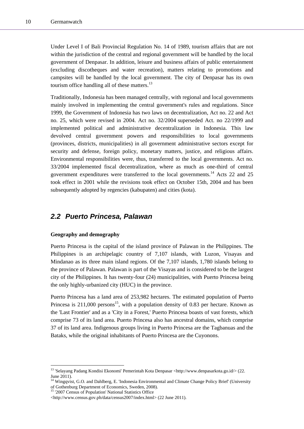Under Level I of Bali Provincial Regulation No. 14 of 1989, tourism affairs that are not within the jurisdiction of the central and regional government will be handled by the local government of Denpasar. In addition, leisure and business affairs of public entertainment (excluding discotheques and water recreation), matters relating to promotions and campsites will be handled by the local government. The city of Denpasar has its own tourism office handling all of these matters. $^{13}$ 

Traditionally, Indonesia has been managed centrally, with regional and local governments mainly involved in implementing the central government's rules and regulations. Since 1999, the Government of Indonesia has two laws on decentralization, Act no. 22 and Act no. 25, which were revised in 2004. Act no. 32/2004 superseded Act. no 22/1999 and implemented political and administrative decentralization in Indonesia. This law devolved central government powers and responsibilities to local governments (provinces, districts, municipalities) in all government administrative sectors except for security and defense, foreign policy, monetary matters, justice, and religious affairs. Environmental responsibilities were, thus, transferred to the local governments. Act no. 33/2004 implemented fiscal decentralization, where as much as one-third of central government expenditures were transferred to the local governments.<sup>14</sup> Acts 22 and 25 took effect in 2001 while the revisions took effect on October 15th, 2004 and has been subsequently adopted by regencies (kabupaten) and cities (kota).

# *2.2 Puerto Princesa, Palawan*

#### **Geography and demography**

Puerto Princesa is the capital of the island province of Palawan in the Philippines. The Philippines is an archipelagic country of 7,107 islands, with Luzon, Visayas and Mindanao as its three main island regions. Of the 7,107 islands, 1,780 islands belong to the province of Palawan. Palawan is part of the Visayas and is considered to be the largest city of the Philippines. It has twenty-four (24) municipalities, with Puerto Princesa being the only highly-urbanized city (HUC) in the province.

Puerto Princesa has a land area of 253,982 hectares. The estimated population of Puerto Princesa is  $211,000$  persons<sup>15</sup>, with a population density of 0.83 per hectare. Known as the 'Last Frontier' and as a 'City in a Forest,' Puerto Princesa boasts of vast forests, which comprise 73 of its land area. Puerto Princesa also has ancestral domains, which comprise 37 of its land area. Indigenous groups living in Puerto Princesa are the Tagbanuas and the Bataks, while the original inhabitants of Puerto Princesa are the Cuyonons.

<sup>&</sup>lt;sup>13</sup> 'Selayang Padang Kondisi Ekonomi' Pemerintah Kota Denpasar <http://www.denpasarkota.go.id/> (22. June 2011).

<sup>&</sup>lt;sup>14</sup> Wingqvist, G.O. and Dahlberg, E. 'Indonesia Environmental and Climate Change Policy Brief' (University of Gothenburg Department of Economics, Sweden, 2008).

<sup>&</sup>lt;sup>15</sup> '2007 Census of Population' National Statistics Office

<sup>&</sup>lt;http://www.census.gov.ph/data/census2007/index.html> (22 June 2011).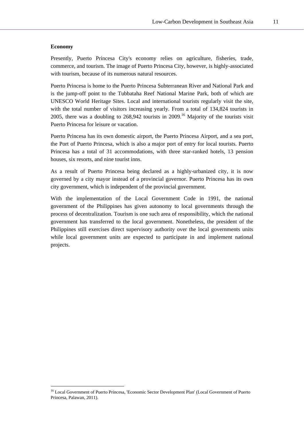#### **Economy**

 $\overline{\phantom{a}}$ 

Presently, Puerto Princesa City's economy relies on agriculture, fisheries, trade, commerce, and tourism. The image of Puerto Princesa City, however, is highly-associated with tourism, because of its numerous natural resources.

Puerto Princesa is home to the Puerto Princesa Subterranean River and National Park and is the jump-off point to the Tubbataha Reef National Marine Park, both of which are UNESCO World Heritage Sites. Local and international tourists regularly visit the site, with the total number of visitors increasing yearly. From a total of 134,824 tourists in 2005, there was a doubling to  $268,942$  tourists in  $2009$ .<sup>16</sup> Majority of the tourists visit Puerto Princesa for leisure or vacation.

Puerto Princesa has its own domestic airport, the Puerto Princesa Airport, and a sea port, the Port of Puerto Princesa, which is also a major port of entry for local tourists. Puerto Princesa has a total of 31 accommodations, with three star-ranked hotels, 13 pension houses, six resorts, and nine tourist inns.

As a result of Puerto Princesa being declared as a highly-urbanized city, it is now governed by a city mayor instead of a provincial governor. Puerto Princesa has its own city government, which is independent of the provincial government.

With the implementation of the Local Government Code in 1991, the national government of the Philippines has given autonomy to local governments through the process of decentralization. Tourism is one such area of responsibility, which the national government has transferred to the local government. Nonetheless, the president of the Philippines still exercises direct supervisory authority over the local governments units while local government units are expected to participate in and implement national projects.

<sup>16</sup> Local Government of Puerto Princesa, 'Economic Sector Development Plan' (Local Government of Puerto Princesa, Palawan, 2011).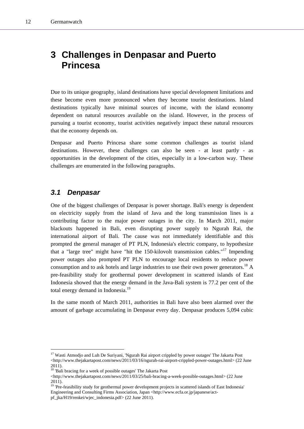# **3 Challenges in Denpasar and Puerto Princesa**

Due to its unique geography, island destinations have special development limitations and these become even more pronounced when they become tourist destinations. Island destinations typically have minimal sources of income, with the island economy dependent on natural resources available on the island. However, in the process of pursuing a tourist economy, tourist activities negatively impact these natural resources that the economy depends on.

Denpasar and Puerto Princesa share some common challenges as tourist island destinations. However, these challenges can also be seen - at least partly - as opportunities in the development of the cities, especially in a low-carbon way. These challenges are enumerated in the following paragraphs.

# *3.1 Denpasar*

 $\overline{\phantom{a}}$ 

One of the biggest challenges of Denpasar is power shortage. Bali's energy is dependent on electricity supply from the island of Java and the long transmission lines is a contributing factor to the major power outages in the city. In March 2011, major blackouts happened in Bali, even disrupting power supply to Ngurah Rai, the international airport of Bali. The cause was not immediately identifiable and this prompted the general manager of PT PLN, Indonesia's electric company, to hypothesize that a "large tree" might have "hit the 150-kilovolt transmission cables."17 Impending power outages also prompted PT PLN to encourage local residents to reduce power consumption and to ask hotels and large industries to use their own power generators.<sup>18</sup> A pre-feasibility study for geothermal power development in scattered islands of East Indonesia showed that the energy demand in the Java-Bali system is 77.2 per cent of the total energy demand in Indonesia.<sup>19</sup>

In the same month of March 2011, authorities in Bali have also been alarmed over the amount of garbage accumulating in Denpasar every day. Denpasar produces 5,094 cubic

<sup>&</sup>lt;sup>17</sup> Wasti Atmodjo and Luh De Suriyani, 'Ngurah Rai airport crippled by power outages' The Jakarta Post <http://www.thejakartapost.com/news/2011/03/16/ngurah-rai-airport-crippled-power-outages.html> (22 June 2011).

<sup>&</sup>lt;sup>18</sup> 'Bali bracing for a week of possible outages' The Jakarta Post

<sup>&</sup>lt;http://www.thejakartapost.com/news/2011/03/25/bali-bracing-a-week-possible-outages.html> (22 June  $2011$ ).

<sup>&</sup>lt;sup>19</sup> 'Pre-feasibility study for geothermal power development projects in scattered islands of East Indonesia' Engineering and Consulting Firms Association, Japan <http://www.ecfa.or.jp/japanese/actpf\_jka/H19/renkei/wjec\_indonesia.pdf> (22 June 2011).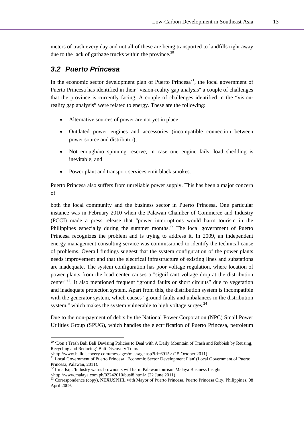meters of trash every day and not all of these are being transported to landfills right away due to the lack of garbage trucks within the province.<sup>20</sup>

# *3.2 Puerto Princesa*

In the economic sector development plan of Puerto Princesa<sup>21</sup>, the local government of Puerto Princesa has identified in their "vision-reality gap analysis" a couple of challenges that the province is currently facing. A couple of challenges identified in the "visionreality gap analysis" were related to energy. These are the following:

- Alternative sources of power are not yet in place;
- Outdated power engines and accessories (incompatible connection between power source and distributor);
- Not enough/no spinning reserve; in case one engine fails, load shedding is inevitable; and
- Power plant and transport services emit black smokes.

Puerto Princesa also suffers from unreliable power supply. This has been a major concern of

both the local community and the business sector in Puerto Princesa. One particular instance was in February 2010 when the Palawan Chamber of Commerce and Industry (PCCI) made a press release that "power interruptions would harm tourism in the Philippines especially during the summer months.<sup>22</sup> The local government of Puerto Princesa recognizes the problem and is trying to address it. In 2009, an independent energy management consulting service was commissioned to identify the technical cause of problems. Overall findings suggest that the system configuration of the power plants needs improvement and that the electrical infrastructure of existing lines and substations are inadequate. The system configuration has poor voltage regulation, where location of power plants from the load center causes a "significant voltage drop at the distribution center"23. It also mentioned frequent "ground faults or short circuits" due to vegetation and inadequate protection system. Apart from this, the distribution system is incompatible with the generator system, which causes "ground faults and unbalances in the distribution system," which makes the system vulnerable to high voltage surges. $^{24}$ 

Due to the non-payment of debts by the National Power Corporation (NPC) Small Power Utilities Group (SPUG), which handles the electrification of Puerto Princesa, petroleum

 $\overline{\phantom{a}}$ 

<sup>&</sup>lt;sup>20</sup> 'Don't Trash Bali Bali Devising Policies to Deal with A Daily Mountain of Trash and Rubbish by Reusing, Recycling and Reducing' Bali Discovery Tours<br>
<http://www.balidiscovery.com/messages/message.asp?Id=6915> (15 October 2011).

<sup>&</sup>lt;sup>21</sup> Local Government of Puerto Princesa, 'Economic Sector Development Plan' (Local Government of Puerto Princesa, Palawan, 2011).

<sup>22</sup> Irma Isip, 'Industry warns brownouts will harm Palawan tourism' Malaya Business Insight

<sup>&</sup>lt;http://www.malaya.com.ph/02242010/busi8.html> (22 June 2011). 23 Correspondence (copy), NEXUSPHIL with Mayor of Puerto Princesa, Puerto Princesa City, Philippines, 08 April 2009.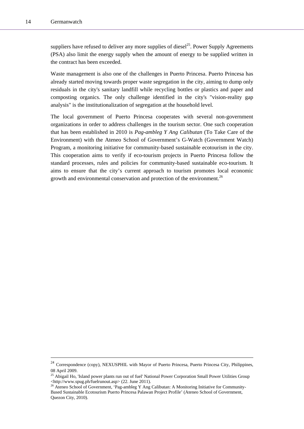suppliers have refused to deliver any more supplies of diesel<sup>25</sup>. Power Supply Agreements (PSA) also limit the energy supply when the amount of energy to be supplied written in the contract has been exceeded.

Waste management is also one of the challenges in Puerto Princesa. Puerto Princesa has already started moving towards proper waste segregation in the city, aiming to dump only residuals in the city's sanitary landfill while recycling bottles or plastics and paper and composting organics. The only challenge identified in the city's "vision-reality gap analysis" is the institutionalization of segregation at the household level.

The local government of Puerto Princesa cooperates with several non-government organizations in order to address challenges in the tourism sector. One such cooperation that has been established in 2010 is *Pag-ambleg Y Ang Calibutan* (To Take Care of the Environment) with the Ateneo School of Government's G-Watch (Government Watch) Program, a monitoring initiative for community-based sustainable ecotourism in the city. This cooperation aims to verify if eco-tourism projects in Puerto Princesa follow the standard processes, rules and policies for community-based sustainable eco-tourism. It aims to ensure that the city's current approach to tourism promotes local economic growth and environmental conservation and protection of the environment.<sup>26</sup>

<sup>&</sup>lt;sup>24</sup> Correspondence (copy), NEXUSPHIL with Mayor of Puerto Princesa, Puerto Princesa City, Philippines, 08 April 2009.

<sup>&</sup>lt;sup>25</sup> Abigail Ho, 'Island power plants run out of fuel' National Power Corporation Small Power Utilities Group <http://www.spug.ph/fuelrunout.asp> (22. June 2011).

<sup>&</sup>lt;sup>26</sup> Ateneo School of Government, 'Pag-ambleg Y Ang Calibutan: A Monitoring Initiative for Community-Based Sustainable Ecotourism Puerto Princesa Palawan Project Profile' (Ateneo School of Government, Quezon City, 2010).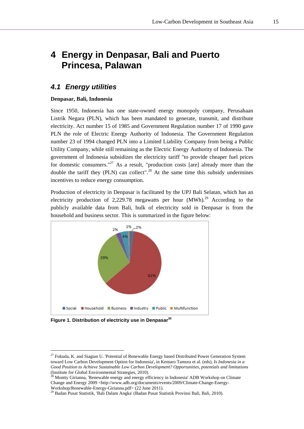# **4 Energy in Denpasar, Bali and Puerto Princesa, Palawan**

# *4.1 Energy utilities*

#### **Denpasar, Bali, Indonesia**

Since 1950, Indonesia has one state-owned energy monopoly company, Perusahaan Listrik Negara (PLN), which has been mandated to generate, transmit, and distribute electricity. Act number 15 of 1985 and Government Regulation number 17 of 1990 gave PLN the role of Electric Energy Authority of Indonesia. The Government Regulation number 23 of 1994 changed PLN into a Limited Liability Company from being a Public Utility Company, while still remaining as the Electric Energy Authority of Indonesia. The government of Indonesia subsidizes the electricity tariff "to provide cheaper fuel prices for domestic consumers."<sup>27</sup> As a result, "production costs [are] already more than the double the tariff they  $(PLN)$  can collect".<sup>28</sup> At the same time this subsidy undermines incentives to reduce energy consumption.

Production of electricity in Denpasar is facilitated by the UPJ Bali Selatan, which has an electricity production of 2,229.78 megawatts per hour  $(MWh)^{29}$  According to the publicly available data from Bali, bulk of electricity sold in Denpasar is from the household and business sector. This is summarized in the figure below:



**Figure 1. Distribution of electricity use in Denpasar30**

 $\overline{\phantom{a}}$ 

 $27$  Fukuda, K. and Siagian U. 'Potential of Renewable Energy based Distributed Power Generation System toward Low Carbon Development Option for Indonesia', in Kentaro Tamura et al. (eds), *Is Indonesia in a Good Position to Achieve Sustainable Low Carbon Development? Opportunities, potentials and limitations* (Institute for Global Environmental Strategies, 2010).

<sup>28</sup> Montty Girianna, 'Renewable energy and energy efficiency in Indonesia' ADB Workshop on Climate Change and Energy 2009 <http://www.adb.org/documents/events/2009/Climate-Change-Energy-Workshop/Renewable-Energy-Girianna.pdf> (22 June 2011).

<sup>&</sup>lt;sup>29</sup> Badan Pusat Statistik, 'Bali Dalam Angka' (Badan Pusat Statistik Provinsi Bali, Bali, 2010).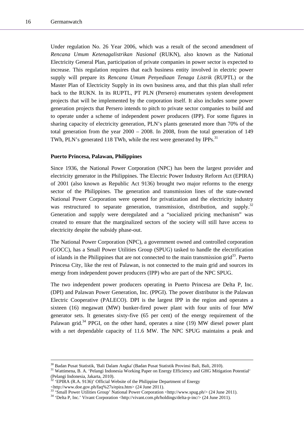Under regulation No. 26 Year 2006, which was a result of the second amendment of *Rencana Umum Ketenagalistrikan Nasional* (RUKN), also known as the National Electricity General Plan, participation of private companies in power sector is expected to increase. This regulation requires that each business entity involved in electric power supply will prepare its *Rencana Umum Penyediaan Tenaga Listrik* (RUPTL) or the Master Plan of Electricity Supply in its own business area, and that this plan shall refer back to the RUKN. In its RUPTL, PT PLN (Persero) enumerates system development projects that will be implemented by the corporation itself. It also includes some power generation projects that Persero intends to pitch to private sector companies to build and to operate under a scheme of independent power producers (IPP). For some figures in sharing capacity of electricity generation, PLN's plants generated more than 70% of the total generation from the year 2000 – 2008. In 2008, from the total generation of 149 TWh, PLN's generated 118 TWh, while the rest were generated by IPPs.<sup>31</sup>

#### **Puerto Princesa, Palawan, Philippines**

Since 1936, the National Power Corporation (NPC) has been the largest provider and electricity generator in the Philippines. The Electric Power Industry Reform Act (EPIRA) of 2001 (also known as Republic Act 9136) brought two major reforms to the energy sector of the Philippines. The generation and transmission lines of the state-owned National Power Corporation were opened for privatization and the electricity industry was restructured to separate generation, transmission, distribution, and supply.<sup>32</sup> Generation and supply were deregulated and a "socialized pricing mechanism" was created to ensure that the marginalized sectors of the society will still have access to electricity despite the subsidy phase-out.

The National Power Corporation (NPC), a government owned and controlled corporation (GOCC), has a Small Power Utilities Group (SPUG) tasked to handle the electrification of islands in the Philippines that are not connected to the main transmission grid<sup>33</sup>. Puerto Princesa City, like the rest of Palawan, is not connected to the main grid and sources its energy from independent power producers (IPP) who are part of the NPC SPUG.

The two independent power producers operating in Puerto Princesa are Delta P, Inc. (DPI) and Palawan Power Generation, Inc. (PPGI). The power distributor is the Palawan Electric Cooperative (PALECO). DPI is the largest IPP in the region and operates a sixteen (16) megawatt (MW) bunker-fired power plant with four units of four MW generator sets. It generates sixty-five (65 per cent) of the energy requirement of the Palawan grid.<sup>34</sup> PPGI, on the other hand, operates a nine (19) MW diesel power plant with a net dependable capacity of 11.6 MW. The NPC SPUG maintains a peak and

<http://www.doe.gov.ph/faq%27s/epira.htm> (24 June 2011).

<sup>&</sup>lt;sup>30</sup> Badan Pusat Statistik, 'Bali Dalam Angka' (Badan Pusat Statistik Provinsi Bali, Bali, 2010).<br><sup>31</sup> Wattimena, B. A. 'Pelangi Indonesia Working Paper on Energy Efficiency and GHG Mitigation Potential' (Pelangi Indonesia, Jakarta, 2010).

 $32$  'EPIRA (R.A. 9136)' Official Website of the Philippine Department of Energy

<sup>&</sup>lt;sup>33</sup> 'Small Power Utilities Group' National Power Corporation <http://www.spug.ph/> (24 June 2011). <sup>34</sup> 'Delta P, Inc.' Vivant Corporation <http://vivant.com.ph/holdings/delta-p-inc/> (24 June 2011).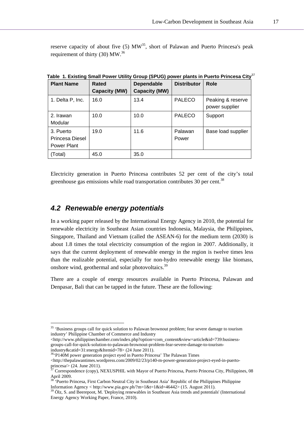reserve capacity of about five  $(5)$  MW<sup>35</sup>, short of Palawan and Puerto Princesa's peak requirement of thirty  $(30)$  MW.<sup>36</sup>

| <b>Plant Name</b>                           | Rated<br><b>Capacity (MW)</b> | <b>Dependable</b><br><b>Capacity (MW)</b> | <b>Distributor</b> | <b>Role</b>                         |
|---------------------------------------------|-------------------------------|-------------------------------------------|--------------------|-------------------------------------|
| 1. Delta P, Inc.                            | 16.0                          | 13.4                                      | <b>PALECO</b>      | Peaking & reserve<br>power supplier |
| 2. Irawan<br>Modular                        | 10.0                          | 10.0                                      | <b>PALECO</b>      | Support                             |
| 3. Puerto<br>Princesa Diesel<br>Power Plant | 19.0                          | 11.6                                      | Palawan<br>Power   | Base load supplier                  |
| Total)                                      | 45.0                          | 35.0                                      |                    |                                     |

**Table 1. Existing Small Power Utility Group (SPUG) power plants in Puerto Princesa City**<sup>37</sup>

Electricity generation in Puerto Princesa contributes 52 per cent of the city's total greenhouse gas emissions while road transportation contributes 30 per cent.<sup>38</sup>

# *4.2 Renewable energy potentials*

l

In a working paper released by the International Energy Agency in 2010, the potential for renewable electricity in Southeast Asian countries Indonesia, Malaysia, the Philippines, Singapore, Thailand and Vietnam (called the ASEAN-6) for the medium term (2030) is about 1.8 times the total electricity consumption of the region in 2007. Additionally, it says that the current deployment of renewable energy in the region is twelve times less than the realizable potential, especially for non-hydro renewable energy like biomass, onshore wind, geothermal and solar photovoltaics.<sup>39</sup>

There are a couple of energy resources available in Puerto Princesa, Palawan and Denpasar, Bali that can be tapped in the future. These are the following:

<sup>&</sup>lt;sup>35</sup> 'Business groups call for quick solution to Palawan brownout problem; fear severe damage to tourism industry' Philippine Chamber of Commerce and Industry

<sup>&</sup>lt;http://www.philippinechamber.com/index.php?option=com\_content&view=article&id=739:businessgroups-call-for-quick-solution-to-palawan-brownout-problem-fear-severe-damage-to-tourismindustry&catid=31:energy&Itemid=78> (24 June 2011).

<sup>&</sup>lt;sup>36</sup>P140M power generation project eyed in Puerto Princesa' The Palawan Times  $\langle$ http://thepalawantimes.wordpress.com/2009/02/23/p140-m-power-generation-project-eyed-in-puertoprincesa/> (24. June 2011).

<sup>37</sup> Correspondence (copy), NEXUSPHIL with Mayor of Puerto Princesa, Puerto Princesa City, Philippines, 08 April 2009.

<sup>&</sup>lt;sup>38</sup> 'Puerto Princesa, First Carbon Neutral City in Southeast Asia' Republic of the Philippines Philippine Information Agency < http://www.pia.gov.ph/?m=1&t=1&id=46442> (15. August 2011).

 $30$ lz, S. and Beerepoot, M. 'Deploying renewables in Southeast Asia trends and potentials' (International Energy Agency Working Paper, France, 2010).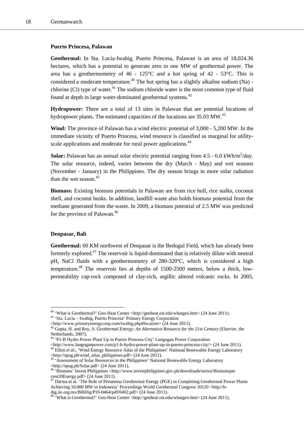#### **Puerto Princesa, Palawan**

**Geothermal:** In Sta. Lucia-Iwahig, Puerto Princesa, Palawan is an area of 18,024.36 hectares, which has a potential to generate zero to one MW of geothermal power. The area has a geothermometry of  $46 - 125^{\circ}$ C and a hot spring of  $42 - 53^{\circ}$ C. This is considered a moderate temperature.<sup>40</sup> The hot spring has a slightly alkaline sodium (Na) chlorine  $(C)$  type of water.<sup>41</sup> The sodium chloride water is the most common type of fluid found at depth in large water-dominated geothermal systems.<sup>42</sup>

**Hydropower:** There are a total of 13 sites in Palawan that are potential locations of hydropower plants. The estimated capacities of the locations are  $35.03 \text{ MW}^{43}$ 

**Wind:** The province of Palawan has a wind electric potential of 3,000 - 5,200 MW. In the immediate vicinity of Puerto Princesa, wind resource is classified as marginal for utilityscale applications and moderate for rural power applications.<sup>44</sup>

**Solar:** Palawan has an annual solar electric potential ranging from  $4.5 - 6.0 \text{ kWh/m}^2/\text{day}$ . The solar resource, indeed, varies between the dry (March - May) and wet seasons (November - January) in the Philippines. The dry season brings in more solar radiation than the wet season.<sup>45</sup>

**Biomass:** Existing biomass potentials in Palawan are from rice hull, rice stalks, coconut shell, and coconut husks. In addition, landfill waste also holds biomass potential from the methane generated from the waste. In 2009, a biomass potential of 2.5 MW was predicted for the province of Palawan.<sup>46</sup>

#### **Denpasar, Bali**

 $\overline{\phantom{a}}$ 

**Geothermal:** 60 KM northwest of Denpasar is the Bedugul Field, which has already been formerly explored.47 The reservoir is liquid-dominated that is relatively dilute with neutral pH, NaCl fluids with a geothermometry of 280-320ºC, which is considered a high temperature.48 The reservoir lies at depths of 1500-2500 meters, below a thick, lowpermeability cap-rock composed of clay-rich, argillic altered volcanic rocks. In 2005,

<sup>&</sup>lt;sup>40</sup> 'What is Geothermal?' Geo-Heat Center <http://geoheat.oit.edu/whatgeo.htm> (24 June 2011). <sup>41</sup> 'Sta. Lucia – Iwahig, Puerto Princesa' Primary Energy Corporation

<sup>&</sup>lt;http://www.primaryenergycorp.com/iwahig.php#location> (24 June 2011). 42 Gupta, H. and Roy, S. *Geothermal Energy: An Alternative Resource for the 21st Century* (Elsevier, the Netherlands, 2007).

<sup>&</sup>lt;sup>43</sup> 'P1-B Hydro Power Plant Up in Puerto Princesa City' Langogan Power Corporation <http://www.langoganpower.com/p1-b-hydro-power-plant-up-in-puerto-princesa-city/> (24 June 2011). 44 Elliot *et al*., 'Wind Energy Resource Atlas of the Philippines' National Renewable Energy Laboratory

<sup>&</sup>lt;http://spug.ph/wind\_atlas\_philippines.pdf> (24 June 2011). 45 'Assessment of Solar Resources in the Philippines' National Renewable Energy Laboratory <http://spug.ph/Solar.pdf> (24 June 2011).

<sup>46 &#</sup>x27;Biomass' Invest Philippines <http://www.investphilippines.gov.ph/downloads/sector/Biomassper cent20Energy.pdf> (24 June 2011).

<sup>47</sup> Darma et al. 'The Role of Pertamina Geothermal Energy (PGE) in Completing Geothermal Power Plants Achieving 10,000 MW in Indonesia' Proceedings World Geothermal Congress 20120 <http://bdig.iie.org.mx/BibDig/P10-0464/pdf/0402.pdf> (24 June 2011).

<sup>48 &#</sup>x27;What is Geothermal?' Geo-Heat Center <http://geoheat.oit.edu/whatgeo.htm> (24 June 2011).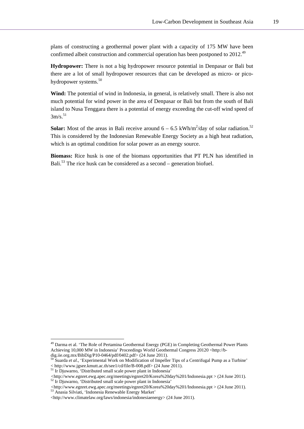plans of constructing a geothermal power plant with a capacity of 175 MW have been confirmed albeit construction and commercial operation has been postponed to 2012.<sup>49</sup>

**Hydropower:** There is not a big hydropower resource potential in Denpasar or Bali but there are a lot of small hydropower resources that can be developed as micro- or picohydropower systems.<sup>50</sup>

**Wind:** The potential of wind in Indonesia, in general, is relatively small. There is also not much potential for wind power in the area of Denpasar or Bali but from the south of Bali island to Nusa Tenggara there is a potential of energy exceeding the cut-off wind speed of  $3m/s$ <sup>51</sup>

**Solar:** Most of the areas in Bali receive around  $6 - 6.5$  kWh/m<sup>2</sup>/day of solar radiation.<sup>52</sup> This is considered by the Indonesian Renewable Energy Society as a high heat radiation, which is an optimal condition for solar power as an energy source.

**Biomass:** Rice husk is one of the biomass opportunities that PT PLN has identified in Bali.<sup>53</sup> The rice husk can be considered as a second – generation biofuel.

<sup>49</sup> Darma et al. 'The Role of Pertamina Geothermal Energy (PGE) in Completing Geothermal Power Plants Achieving 10,000 MW in Indonesia' Proceedings World Geothermal Congress 20120 <http://bdig.iie.org.mx/BibDig/P10-0464/pdf/0402.pdf> (24 June 2011).

<sup>50</sup> Suarda *et al*., 'Experimental Work on Modification of Impeller Tips of a Centrifugal Pump as a Turbine' < http://www.jgsee.kmutt.ac.th/see1/cd/file/B-008.pdf> (24 June 2011). 51 Ir Djuwarno, 'Distributed small scale power plant in Indonesia'

*<sup>&</sup>lt;*http://www.egnret.ewg.apec.org/meetings/egnret20/Korea%20day%201/Indonesia.ppt > (24 June 2011). 52 Ir Djuwarno, 'Distributed small scale power plant in Indonesia'

*<sup>&</sup>lt;*http://www.egnret.ewg.apec.org/meetings/egnret20/Korea%20day%201/Indonesia.ppt > (24 June 2011). 53 Anasia Silviati, 'Indonesia Renewable Energy Market'

<sup>&</sup>lt;http://www.climatelaw.org/laws/indonesia/indonesiaenergy> (24 June 2011).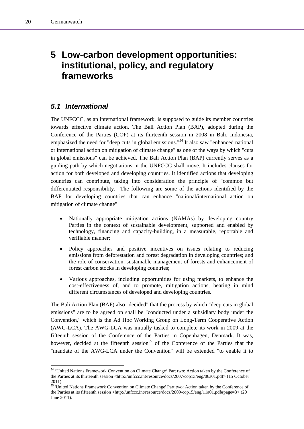l

# **5 Low-carbon development opportunities: institutional, policy, and regulatory frameworks**

# *5.1 International*

The UNFCCC, as an international framework, is supposed to guide its member countries towards effective climate action. The Bali Action Plan (BAP), adopted during the Conference of the Parties (COP) at its thirteenth session in 2008 in Bali, Indonesia, emphasized the need for "deep cuts in global emissions."54 It also saw "enhanced national or international action on mitigation of climate change" as one of the ways by which "cuts in global emissions" can be achieved. The Bali Action Plan (BAP) currently serves as a guiding path by which negotiations in the UNFCCC shall move. It includes clauses for action for both developed and developing countries. It identified actions that developing countries can contribute, taking into consideration the principle of "common but differentiated responsibility." The following are some of the actions identified by the BAP for developing countries that can enhance "national/international action on mitigation of climate change":

- Nationally appropriate mitigation actions (NAMAs) by developing country Parties in the context of sustainable development, supported and enabled by technology, financing and capacity-building, in a measurable, reportable and verifiable manner;
- Policy approaches and positive incentives on issues relating to reducing emissions from deforestation and forest degradation in developing countries; and the role of conservation, sustainable management of forests and enhancement of forest carbon stocks in developing countries;
- Various approaches, including opportunities for using markets, to enhance the cost-effectiveness of, and to promote, mitigation actions, bearing in mind different circumstances of developed and developing countries.

The Bali Action Plan (BAP) also "decided" that the process by which "deep cuts in global emissions" are to be agreed on shall be "conducted under a subsidiary body under the Convention," which is the Ad Hoc Working Group on Long-Term Cooperative Action (AWG-LCA). The AWG-LCA was initially tasked to complete its work in 2009 at the fifteenth session of the Conference of the Parties in Copenhagen, Denmark. It was, however, decided at the fifteenth session<sup>55</sup> of the Conference of the Parties that the "mandate of the AWG-LCA under the Convention" will be extended "to enable it to

<sup>54 &#</sup>x27;United Nations Framework Convention on Climate Change' Part two: Action taken by the Conference of the Parties at its thirteenth session <http://unfccc.int/resource/docs/2007/cop13/eng/06a01.pdf> (15 October 2011).

<sup>&</sup>lt;sup>55</sup> 'United Nations Framework Convention on Climate Change' Part two: Action taken by the Conference of the Parties at its fifteenth session <http://unfccc.int/resource/docs/2009/cop15/eng/11a01.pdf#page=3> (20 June 2011).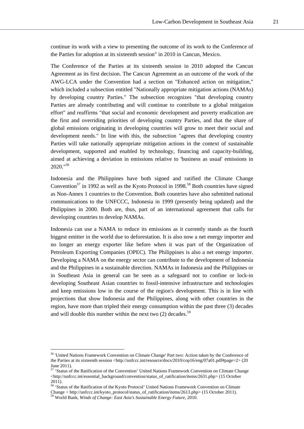continue its work with a view to presenting the outcome of its work to the Conference of the Parties for adoption at its sixteenth session" in 2010 in Cancun, Mexico.

The Conference of the Parties at its sixteenth session in 2010 adopted the Cancun Agreement as its first decision. The Cancun Agreement as an outcome of the work of the AWG-LCA under the Convention had a section on "Enhanced action on mitigation," which included a subsection entitled "Nationally appropriate mitigation actions (NAMAs) by developing country Parties." The subsection recognizes "that developing country Parties are already contributing and will continue to contribute to a global mitigation effort" and reaffirms "that social and economic development and poverty eradication are the first and overriding priorities of developing country Parties, and that the share of global emissions originating in developing countries will grow to meet their social and development needs." In line with this, the subsection "agrees that developing country Parties will take nationally appropriate mitigation actions in the context of sustainable development, supported and enabled by technology, financing and capacity-building, aimed at achieving a deviation in emissions relative to 'business as usual' emissions in 2020."56

Indonesia and the Philippines have both signed and ratified the Climate Change Convention<sup>57</sup> in 1992 as well as the Kyoto Protocol in 1998.<sup>58</sup> Both countries have signed as Non-Annex 1 countries to the Convention. Both countries have also submitted national communications to the UNFCCC, Indonesia in 1999 (presently being updated) and the Philippines in 2000. Both are, thus, part of an international agreement that calls for developing countries to develop NAMAs.

Indonesia can use a NAMA to reduce its emissions as it currently stands as the fourth biggest emitter in the world due to deforestation. It is also now a net energy importer and no longer an energy exporter like before when it was part of the Organization of Petroleum Exporting Companies (OPEC). The Philippines is also a net energy importer. Developing a NAMA on the energy sector can contribute to the development of Indonesia and the Philippines in a sustainable direction. NAMAs in Indonesia and the Philippines or in Southeast Asia in general can be seen as a safeguard not to confine or lock-in developing Southeast Asian countries to fossil-intensive infrastructure and technologies and keep emissions low in the course of the region's development. This is in line with projections that show Indonesia and the Philippines, along with other countries in the region, have more than tripled their energy consumption within the past three (3) decades and will double this number within the next two  $(2)$  decades.<sup>59</sup>

 $\overline{\phantom{a}}$ 

<sup>56 &#</sup>x27;United Nations Framework Convention on Climate Change' Part two: Action taken by the Conference of the Parties at its sixteenth session <http://unfccc.int/resource/docs/2010/cop16/eng/07a01.pdf#page=2> (20 June 2011).

<sup>&</sup>lt;sup>57</sup> 'Status of the Ratification of the Convention' United Nations Framework Convention on Climate Change <http://unfccc.int/essential\_background/convention/status\_of\_ratification/items/2631.php> (15 October 2011).

<sup>&</sup>lt;sup>58</sup> 'Status of the Ratification of the Kyoto Protocol' United Nations Framework Convention on Climate Change < http://unfccc.int/kyoto\_protocol/status\_of\_ratification/items/2613.php> (15 October 2011). 59 World Bank, *Winds of Change: East Asia's Sustainable Energy Future*, 2010.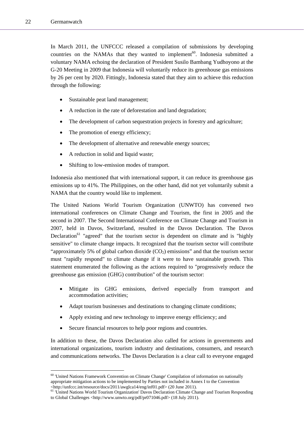l

In March 2011, the UNFCCC released a compilation of submissions by developing countries on the NAMAs that they wanted to implement<sup>60</sup>. Indonesia submitted a voluntary NAMA echoing the declaration of President Susilo Bambang Yudhoyono at the G-20 Meeting in 2009 that Indonesia will voluntarily reduce its greenhouse gas emissions by 26 per cent by 2020. Fittingly, Indonesia stated that they aim to achieve this reduction through the following:

- Sustainable peat land management;
- A reduction in the rate of deforestation and land degradation;
- The development of carbon sequestration projects in forestry and agriculture;
- The promotion of energy efficiency;
- The development of alternative and renewable energy sources;
- A reduction in solid and liquid waste;
- Shifting to low-emission modes of transport.

Indonesia also mentioned that with international support, it can reduce its greenhouse gas emissions up to 41%. The Philippines, on the other hand, did not yet voluntarily submit a NAMA that the country would like to implement.

The United Nations World Tourism Organization (UNWTO) has convened two international conferences on Climate Change and Tourism, the first in 2005 and the second in 2007. The Second International Conference on Climate Change and Tourism in 2007, held in Davos, Switzerland, resulted in the Davos Declaration. The Davos Declaration<sup>61</sup> "agreed" that the tourism sector is dependent on climate and is "highly sensitive" to climate change impacts. It recognized that the tourism sector will contribute "approximately 5% of global carbon dioxide  $(CO<sub>2</sub>)$  emissions" and that the tourism sector must "rapidly respond" to climate change if it were to have sustainable growth. This statement enumerated the following as the actions required to "progressively reduce the greenhouse gas emission (GHG) contribution" of the tourism sector:

- Mitigate its GHG emissions, derived especially from transport and accommodation activities;
- Adapt tourism businesses and destinations to changing climate conditions;
- Apply existing and new technology to improve energy efficiency; and
- Secure financial resources to help poor regions and countries.

In addition to these, the Davos Declaration also called for actions in governments and international organizations, tourism industry and destinations, consumers, and research and communications networks. The Davos Declaration is a clear call to everyone engaged

 $60$  'United Nations Framework Convention on Climate Change' Compilation of information on nationally appropriate mitigation actions to be implemented by Parties not included in Annex I to the Convention

Attp://unfccc.int/resource/docs/2011/awglca14/eng/inf01.pdf> (20 June 2011).<br><sup>61</sup> 'United Nations World Tourism Organization' Davos Declaration Climate Change and Tourism Responding to Global Challenges <http://www.unwto.org/pdf/pr071046.pdf> (18 July 2011).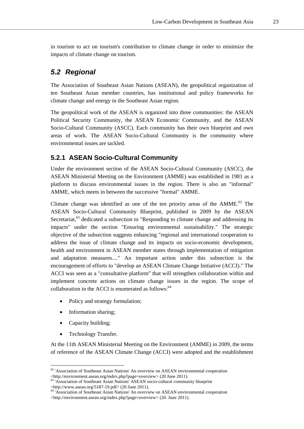in tourism to act on tourism's contribution to climate change in order to minimize the impacts of climate change on tourism.

# *5.2 Regional*

The Association of Southeast Asian Nations (ASEAN), the geopolitical organization of ten Southeast Asian member countries, has institutional and policy frameworks for climate change and energy in the Southeast Asian region.

The geopolitical work of the ASEAN is organized into three communities: the ASEAN Political Security Community, the ASEAN Economic Community, and the ASEAN Socio-Cultural Community (ASCC). Each community has their own blueprint and own areas of work. The ASEAN Socio-Cultural Community is the community where environmental issues are tackled.

### **5.2.1 ASEAN Socio-Cultural Community**

Under the environment section of the ASEAN Socio-Cultural Community (ASCC), the ASEAN Ministerial Meeting on the Environment (AMME) was established in 1981 as a platform to discuss environmental issues in the region. There is also an "informal" AMME, which meets in between the successive "formal" AMME.

Climate change was identified as one of the ten priority areas of the  $AMME<sup>62</sup>$  The ASEAN Socio-Cultural Community Blueprint, published in 2009 by the ASEAN Secretariat,<sup>63</sup> dedicated a subsection to "Responding to climate change and addressing its impacts" under the section "Ensuring environmental sustainability." The strategic objective of the subsection suggests enhancing "regional and international cooperation to address the issue of climate change and its impacts on socio-economic development, health and environment in ASEAN member states through implementation of mitigation and adaptation measures...." An important action under this subsection is the encouragement of efforts to "develop an ASEAN Climate Change Initiative (ACCI)." The ACCI was seen as a "consultative platform" that will strengthen collaboration within and implement concrete actions on climate change issues in the region. The scope of collaboration in the ACCI is enumerated as follows:<sup>64</sup>

- Policy and strategy formulation;
- Information sharing;
- Capacity building;

l

• Technology Transfer.

At the 11th ASEAN Ministerial Meeting on the Environment (AMME) in 2009, the terms of reference of the ASEAN Climate Change (ACCI) were adopted and the establishment

<sup>&</sup>lt;sup>62</sup> 'Association of Southeast Asian Nations' An overview on ASEAN environmental cooperation <http://environment.asean.org/index.php?page=overview> (20 June 2011). 63 'Association of Southeast Asian Nations' ASEAN socio-cultural community blueprint

<sup>&</sup>lt;http://www.asean.org/5187-19.pdf> (20 June 2011).

<sup>64 &#</sup>x27;Association of Southeast Asian Nations' An overview on ASEAN environmental cooperation <http://environment.asean.org/index.php?page=overview> (20. June 2011).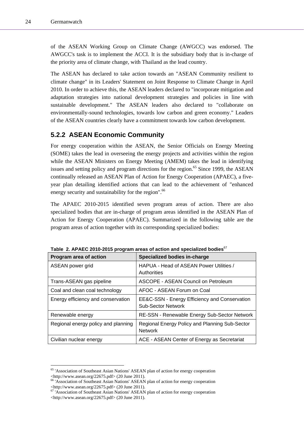l

of the ASEAN Working Group on Climate Change (AWGCC) was endorsed. The AWGCC's task is to implement the ACCI. It is the subsidiary body that is in-charge of the priority area of climate change, with Thailand as the lead country.

The ASEAN has declared to take action towards an "ASEAN Community resilient to climate change" in its Leaders' Statement on Joint Response to Climate Change in April 2010. In order to achieve this, the ASEAN leaders declared to "incorporate mitigation and adaptation strategies into national development strategies and policies in line with sustainable development." The ASEAN leaders also declared to "collaborate on environmentally-sound technologies, towards low carbon and green economy." Leaders of the ASEAN countries clearly have a commitment towards low carbon development.

### **5.2.2 ASEAN Economic Community**

For energy cooperation within the ASEAN, the Senior Officials on Energy Meeting (SOME) takes the lead in overseeing the energy projects and activities within the region while the ASEAN Ministers on Energy Meeting (AMEM) takes the lead in identifying issues and setting policy and program directions for the region.<sup>65</sup> Since 1999, the ASEAN continually released an ASEAN Plan of Action for Energy Cooperation (APAEC), a fiveyear plan detailing identified actions that can lead to the achievement of "enhanced energy security and sustainability for the region".<sup>66</sup>

The APAEC 2010-2015 identified seven program areas of action. There are also specialized bodies that are in-charge of program areas identified in the ASEAN Plan of Action for Energy Cooperation (APAEC). Summarized in the following table are the program areas of action together with its corresponding specialized bodies:

| Program area of action              | Specialized bodies in-charge                                               |
|-------------------------------------|----------------------------------------------------------------------------|
| ASEAN power grid                    | HAPUA - Head of ASEAN Power Utilities /<br>Authorities                     |
| Trans-ASEAN gas pipeline            | ASCOPE - ASEAN Council on Petroleum                                        |
| Coal and clean coal technology      | AFOC - ASEAN Forum on Coal                                                 |
| Energy efficiency and conservation  | EE&C-SSN - Energy Efficiency and Conservation<br><b>Sub-Sector Network</b> |
| Renewable energy                    | RE-SSN - Renewable Energy Sub-Sector Network                               |
| Regional energy policy and planning | Regional Energy Policy and Planning Sub-Sector<br><b>Network</b>           |
| Civilian nuclear energy             | ACE - ASEAN Center of Energy as Secretariat                                |

Table 2. APAEC 2010-2015 program areas of action and specialized bodies<sup>67</sup>

<sup>65 &#</sup>x27;Association of Southeast Asian Nations' ASEAN plan of action for energy cooperation <http://www.asean.org/22675.pdf> (20 June 2011).

<sup>66 &#</sup>x27;Association of Southeast Asian Nations' ASEAN plan of action for energy cooperation <http://www.asean.org/22675.pdf> (20 June 2011).

<sup>&</sup>lt;sup>67</sup> 'Association of Southeast Asian Nations' ASEAN plan of action for energy cooperation <http://www.asean.org/22675.pdf> (20 June 2011).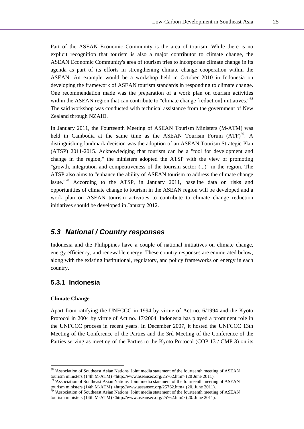Part of the ASEAN Economic Community is the area of tourism. While there is no explicit recognition that tourism is also a major contributor to climate change, the ASEAN Economic Community's area of tourism tries to incorporate climate change in its agenda as part of its efforts in strengthening climate change cooperation within the ASEAN. An example would be a workshop held in October 2010 in Indonesia on developing the framework of ASEAN tourism standards in responding to climate change. One recommendation made was the preparation of a work plan on tourism activities within the ASEAN region that can contribute to "climate change [reduction] initiatives."<sup>68</sup> The said workshop was conducted with technical assistance from the government of New Zealand through NZAID.

In January 2011, the Fourteenth Meeting of ASEAN Tourism Ministers (M-ATM) was held in Cambodia at the same time as the ASEAN Tourism Forum  $(ATF)^{69}$ . A distinguishing landmark decision was the adoption of an ASEAN Tourism Strategic Plan (ATSP) 2011-2015. Acknowledging that tourism can be a "tool for development and change in the region," the ministers adopted the ATSP with the view of promoting "growth, integration and competitiveness of the tourism sector (...)" in the region. The ATSP also aims to "enhance the ability of ASEAN tourism to address the climate change issue."70 According to the ATSP, in January 2011, baseline data on risks and opportunities of climate change to tourism in the ASEAN region will be developed and a work plan on ASEAN tourism activities to contribute to climate change reduction initiatives should be developed in January 2012.

# *5.3 National / Country responses*

Indonesia and the Philippines have a couple of national initiatives on climate change, energy efficiency, and renewable energy. These country responses are enumerated below, along with the existing institutional, regulatory, and policy frameworks on energy in each country.

### **5.3.1 Indonesia**

#### **Climate Change**

l

Apart from ratifying the UNFCCC in 1994 by virtue of Act no. 6/1994 and the Kyoto Protocol in 2004 by virtue of Act no. 17/2004, Indonesia has played a prominent role in the UNFCCC process in recent years. In December 2007, it hosted the UNFCCC 13th Meeting of the Conference of the Parties and the 3rd Meeting of the Conference of the Parties serving as meeting of the Parties to the Kyoto Protocol (COP 13 / CMP 3) on its

<sup>&</sup>lt;sup>68</sup> 'Association of Southeast Asian Nations' Joint media statement of the fourteenth meeting of ASEAN tourism ministers (14th M-ATM) <http://www.aseansec.org/25762.htm> (20 June 2011). <sup>69</sup> 'Association of Southeast Asian Nations' Joint media statement of the fourteenth meeting of ASEAN

tourism ministers (14th M-ATM) <http://www.aseansec.org/25762.htm> (20. June 2011). <sup>70</sup> 'Association of Southeast Asian Nations' Joint media statement of the fourteenth meeting of ASEAN

tourism ministers (14th M-ATM) <http://www.aseansec.org/25762.htm> (20. June 2011).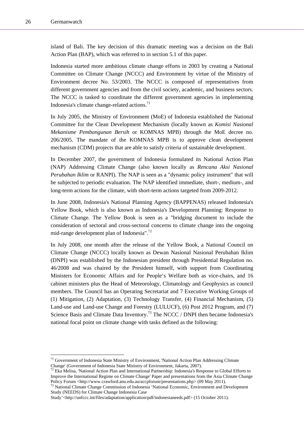l

island of Bali. The key decision of this dramatic meeting was a decision on the Bali Action Plan (BAP), which was referred to in section 5.1 of this paper.

Indonesia started more ambitious climate change efforts in 2003 by creating a National Committee on Climate Change (NCCC) and Environment by virtue of the Ministry of Environment decree No. 53/2003. The NCCC is composed of representatives from different government agencies and from the civil society, academic, and business sectors. The NCCC is tasked to coordinate the different government agencies in implementing Indonesia's climate change-related actions.<sup>71</sup>

In July 2005, the Ministry of Environment (MoE) of Indonesia established the National Committee for the Clean Development Mechanism (locally known as *Komisi Nasional Mekanisme Pembangunan Bersih* or KOMNAS MPB) through the MoE decree no. 206/2005. The mandate of the KOMNAS MPB is to approve clean development mechanism (CDM) projects that are able to satisfy criteria of sustainable development.

In December 2007, the government of Indonesia formulated its National Action Plan (NAP) Addressing Climate Change (also known locally as *Rencana Aksi Nasional Perubahan Iklim* or RANPI). The NAP is seen as a "dynamic policy instrument" that will be subjected to periodic evaluation. The NAP identified immediate, short-, medium-, and long-term actions for the climate, with short-term actions targeted from 2009-2012.

In June 2008, Indonesia's National Planning Agency (BAPPENAS) released Indonesia's Yellow Book, which is also known as Indonesia's Development Planning: Response to Climate Change. The Yellow Book is seen as a "bridging document to include the consideration of sectoral and cross-sectoral concerns to climate change into the ongoing mid-range development plan of Indonesia".72

In July 2008, one month after the release of the Yellow Book, a National Council on Climate Change (NCCC) locally known as Dewan Nasional Nasional Perubahan Iklim (DNPI) was established by the Indonesian president through Presidential Regulation no. 46/2008 and was chaired by the President himself, with support from Coordinating Ministers for Economic Affairs and for People's Welfare both as vice-chairs, and 16 cabinet ministers plus the Head of Meteorology, Climatology and Geophysics as council members. The Council has an Operating Secretariat and 7 Executive Working Groups of (1) Mitigation, (2) Adaptation, (3) Technology Transfer, (4) Financial Mechanism, (5) Land-use and Land-use Change and Forestry (LULUCF), (6) Post 2012 Program, and (7) Science Basis and Climate Data Inventory.<sup>73</sup> The NCCC / DNPI then became Indonesia's national focal point on climate change with tasks defined as the following:

<sup>&</sup>lt;sup>71</sup> Government of Indonesia State Ministry of Environment, 'National Action Plan Addressing Climate Change' (Government of Indonesia State Ministry of Environment, Jakarta, 2007). 72 Eka Melisa, 'National Action Plan and International Partnership: Indonesia's Response to Global Efforts to

Improve the International Regime on Climate Change' Paper and presentations from the Asia Climate Change Policy Forum <http://www.crawford.anu.edu.au/accpforum/presentations.php> (09 May 2011).<br><sup>73</sup> National Climate Change Commission of Indonesia 'National Economic, Environment and Development

Study (NEEDS) for Climate Change Indonesia Case

Study'<http://unfccc.int/files/adaptation/application/pdf/indonesianeeds.pdf> (15 October 2011).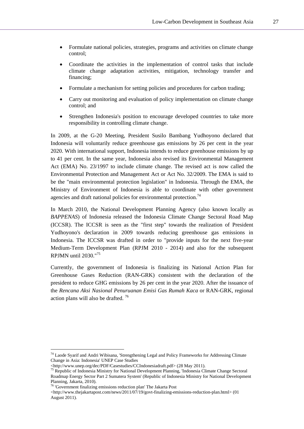- Formulate national policies, strategies, programs and activities on climate change control;
- Coordinate the activities in the implementation of control tasks that include climate change adaptation activities, mitigation, technology transfer and financing;
- Formulate a mechanism for setting policies and procedures for carbon trading;
- Carry out monitoring and evaluation of policy implementation on climate change control; and
- Strengthen Indonesia's position to encourage developed countries to take more responsibility in controlling climate change.

In 2009, at the G-20 Meeting, President Susilo Bambang Yudhoyono declared that Indonesia will voluntarily reduce greenhouse gas emissions by 26 per cent in the year 2020. With international support, Indonesia intends to reduce greenhouse emissions by up to 41 per cent. In the same year, Indonesia also revised its Environmental Management Act (EMA) No. 23/1997 to include climate change. The revised act is now called the Environmental Protection and Management Act or Act No. 32/2009. The EMA is said to be the "main environmental protection legislation" in Indonesia. Through the EMA, the Ministry of Environment of Indonesia is able to coordinate with other government agencies and draft national policies for environmental protection.<sup>74</sup>

In March 2010, the National Development Planning Agency (also known locally as *BAPPENAS*) of Indonesia released the Indonesia Climate Change Sectoral Road Map (ICCSR). The ICCSR is seen as the "first step" towards the realization of President Yudhoyono's declaration in 2009 towards reducing greenhouse gas emissions in Indonesia. The ICCSR was drafted in order to "provide inputs for the next five-year Medium-Term Development Plan (RPJM 2010 - 2014) and also for the subsequent RPJMN until 2030."75

Currently, the government of Indonesia is finalizing its National Action Plan for Greenhouse Gases Reduction (RAN-GRK) consistent with the declaration of the president to reduce GHG emissions by 26 per cent in the year 2020. After the issuance of the *Rencana Aksi Nasional Penuruanan Emisi Gas Rumah Kaca* or RAN-GRK, regional action plans will also be drafted. 76

 $\overline{\phantom{a}}$ 

<sup>74</sup> Laode Syarif and Andri Wibisana, 'Strengthening Legal and Policy Frameworks for Addressing Climate Change in Asia: Indonesia' UNEP Case Studies

<sup>&</sup>lt;http://www.unep.org/dec/PDF/Casestudies/CCIndonesiadraft.pdf> (28 May 2011). 75 Republic of Indonesia Ministry for National Development Planning, 'Indonesia Climate Change Sectoral Roadmap Energy Sector Part 2 Sumatera System' (Republic of Indonesia Ministry for National Development Planning, Jakarta, 2010).

<sup>76 &#</sup>x27;Government finalizing emissions reduction plan' The Jakarta Post

<sup>&</sup>lt;http://www.thejakartapost.com/news/2011/07/19/govt-finalizing-emissions-reduction-plan.html> (01 August 2011).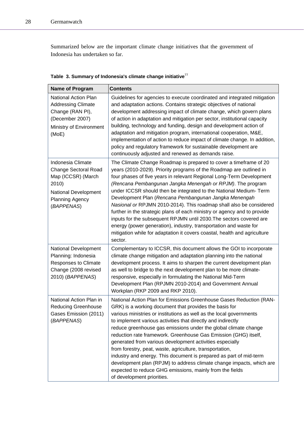Summarized below are the important climate change initiatives that the government of Indonesia has undertaken so far.

| Name of Program                                                                                                                                 | <b>Contents</b>                                                                                                                                                                                                                                                                                                                                                                                                                                                                                                                                                                                                                                                                                                                                                                                      |
|-------------------------------------------------------------------------------------------------------------------------------------------------|------------------------------------------------------------------------------------------------------------------------------------------------------------------------------------------------------------------------------------------------------------------------------------------------------------------------------------------------------------------------------------------------------------------------------------------------------------------------------------------------------------------------------------------------------------------------------------------------------------------------------------------------------------------------------------------------------------------------------------------------------------------------------------------------------|
| <b>National Action Plan</b><br><b>Addressing Climate</b><br>Change (RAN PI),<br>(December 2007)<br>Ministry of Environment<br>(MoE)             | Guidelines for agencies to execute coordinated and integrated mitigation<br>and adaptation actions. Contains strategic objectives of national<br>development addressing impact of climate change, which govern plans<br>of action in adaptation and mitigation per sector, institutional capacity<br>building, technology and funding, design and development action of<br>adaptation and mitigation program, international cooperation, M&E,<br>implementation of action to reduce impact of climate change. In addition,<br>policy and regulatory framework for sustainable development are<br>continuously adjusted and renewed as demands raise.                                                                                                                                                 |
| Indonesia Climate<br><b>Change Sectoral Road</b><br>Map (ICCSR) (March<br>2010)<br>National Development<br><b>Planning Agency</b><br>(BAPPENAS) | The Climate Change Roadmap is prepared to cover a timeframe of 20<br>years (2010-2029). Priority programs of the Roadmap are outlined in<br>four phases of five years in relevant Regional Long-Term Development<br>(Rencana Pembangunan Jangka Menengah or RPJM). The program<br>under ICCSR should then be integrated to the National Medium- Term<br>Development Plan (Rencana Pembangunan Jangka Menengah<br>Nasional or RPJMN 2010-2014). This roadmap shall also be considered<br>further in the strategic plans of each ministry or agency and to provide<br>inputs for the subsequent RPJMN until 2030. The sectors covered are<br>energy (power generation), industry, transportation and waste for<br>mitigation while for adaptation it covers coastal, health and agriculture<br>sector. |
| National Development<br>Planning: Indonesia<br><b>Responses to Climate</b><br>Change (2008 revised<br>2010) (BAPPENAS)                          | Complementary to ICCSR, this document allows the GOI to incorporate<br>climate change mitigation and adaptation planning into the national<br>development process. It aims to sharpen the current development plan<br>as well to bridge to the next development plan to be more climate-<br>responsive, especially in formulating the National Mid-Term<br>Development Plan (RPJMN 2010-2014) and Government Annual<br>Workplan (RKP 2009 and RKP 2010).                                                                                                                                                                                                                                                                                                                                             |
| National Action Plan in<br><b>Reducing Greenhouse</b><br>Gases Emission (2011)<br>(BAPPENAS)                                                    | National Action Plan for Emissions Greenhouse Gases Reduction (RAN-<br>GRK) is a working document that provides the basis for<br>various ministries or institutions as well as the local governments<br>to implement various activities that directly and indirectly<br>reduce greenhouse gas emissions under the global climate change<br>reduction rate framework. Greenhouse Gas Emission (GHG) itself,<br>generated from various development activities especially<br>from forestry, peat, waste, agriculture, transportation,<br>industry and energy. This document is prepared as part of mid-term<br>development plan (RPJM) to address climate change impacts, which are<br>expected to reduce GHG emissions, mainly from the fields<br>of development priorities.                           |

|  |  |  | Table 3. Summary of Indonesia's climate change initiative <sup>77</sup> |  |
|--|--|--|-------------------------------------------------------------------------|--|
|--|--|--|-------------------------------------------------------------------------|--|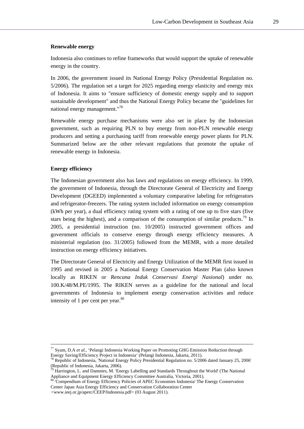#### **Renewable energy**

Indonesia also continues to refine frameworks that would support the uptake of renewable energy in the country.

In 2006, the government issued its National Energy Policy (Presidential Regulation no. 5/2006). The regulation set a target for 2025 regarding energy elasticity and energy mix of Indonesia. It aims to "ensure sufficiency of domestic energy supply and to support sustainable development" and thus the National Energy Policy became the "guidelines for national energy management."78

Renewable energy purchase mechanisms were also set in place by the Indonesian government, such as requiring PLN to buy energy from non-PLN renewable energy producers and setting a purchasing tariff from renewable energy power plants for PLN. Summarized below are the other relevant regulations that promote the uptake of renewable energy in Indonesia.

#### **Energy efficiency**

The Indonesian government also has laws and regulations on energy efficiency. In 1999, the government of Indonesia, through the Directorate General of Electricity and Energy Development (DGEED) implemented a voluntary comparative labeling for refrigerators and refrigerator-freezers. The rating system included information on energy consumption (kWh per year), a dual efficiency rating system with a rating of one up to five stars (five stars being the highest), and a comparison of the consumption of similar products.<sup>79</sup> In 2005, a presidential instruction (no. 10/2005) instructed government offices and government officials to conserve energy through energy efficiency measures. A ministerial regulation (no. 31/2005) followed from the MEMR, with a more detailed instruction on energy efficiency initiatives.

The Directorate General of Electricity and Energy Utilization of the MEMR first issued in 1995 and revised in 2005 a National Energy Conservation Master Plan (also known locally as RIKEN or *Rencana Induk Conservasi Energi Nasional*) under no. 100.K/48/M.PE/1995. The RIKEN serves as a guideline for the national and local governments of Indonesia to implement energy conservation activities and reduce intensity of 1 per cent per year. $80$ 

<sup>&</sup>lt;sup>77</sup> Syam, D.A *et al.*, 'Pelangi Indonesia Working Paper on Promoting GHG Emission Reduction through Energy Saving/Efficiency Project in Indonesia' (Pelangi Indonesia, Jakarta, 2011).

Energy Saving/Efficiency Project in Indonesia' (Pelangi Indonesia, Jakarta, 2011). 78 Republic of Indonesia, 'National Energy Policy Presidential Regulation no. 5/2006 dated January 25, 2006' (Republic of Indonesia, Jakarta, 2006).

Harrington, L. and Damnies, M. 'Energy Labelling and Standards Throughout the World' (The National Appliance and Equipment Energy Efficiency Committee Australia, Victoria, 2001).<br><sup>80</sup> 'Compendium of Energy Efficiency Policies of APEC Economies Indonesia' The Energy Conservation

Center Japan Asia Energy Efficiency and Conservation Collaboration Center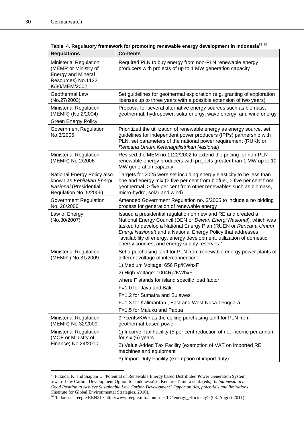| <b>Regulations</b>                                                                                                        | <b>Contents</b>                                                                                                                                                                                                                                                                                                                                                                             |  |
|---------------------------------------------------------------------------------------------------------------------------|---------------------------------------------------------------------------------------------------------------------------------------------------------------------------------------------------------------------------------------------------------------------------------------------------------------------------------------------------------------------------------------------|--|
| <b>Ministerial Regulation</b><br>(MEMR or Ministry of<br><b>Energy and Mineral</b><br>Resources) No.1122<br>K/30/MEM/2002 | Required PLN to buy energy from non-PLN renewable energy<br>producers with projects of up to 1 MW generation capacity                                                                                                                                                                                                                                                                       |  |
| <b>Geothermal Law</b><br>(No.27/2003)                                                                                     | Set guidelines for geothermal exploration (e.g. granting of exploration<br>licenses up to three years with a possible extension of two years)                                                                                                                                                                                                                                               |  |
| <b>Ministerial Regulation</b><br>(MEMR) (No.2/2004)                                                                       | Proposal for several alternative energy sources such as biomass,<br>geothermal, hydropower, solar energy, wave energy, and wind energy                                                                                                                                                                                                                                                      |  |
| <b>Green Energy Policy</b>                                                                                                |                                                                                                                                                                                                                                                                                                                                                                                             |  |
| Government Regulation<br>No.3/2005                                                                                        | Prioritized the utilization of renewable energy as energy source, set<br>guidelines for independent power producers (IPPs) partnership with<br>PLN, set parameters of the national power requirement (RUKN or<br>Rencana Umum Ketenagalistrikan Nasional)                                                                                                                                   |  |
| Ministerial Regulation<br>(MEMR) No.2/2006                                                                                | Revised the MEM no.1122/2002 to extend the pricing for non-PLN<br>renewable energy producers with projects greater than 1 MW up to 10<br>MW generation capacity                                                                                                                                                                                                                             |  |
| National Energy Policy also<br>known as Kebijakan Energi<br>Nasional (Presidential<br>Regulation No. 5/2006)              | Targets for 2025 were set including energy elasticity to be less than<br>one and energy mix (> five per cent from biofuel, > five per cent from<br>geothermal, > five per cent from other renewables such as biomass,<br>micro-hydro, solar and wind)                                                                                                                                       |  |
| Government Regulation<br>No. 26/2006                                                                                      | Amended Government Regulation no. 3/2005 to include a no bidding<br>process for generation of renewable energy                                                                                                                                                                                                                                                                              |  |
| Law of Energy<br>(No.30/2007)                                                                                             | Issued a presidential regulation on new and RE and created a<br>National Energy Council (DEN or Dewan Energi Nasional), which was<br>tasked to develop a National Energy Plan (RUEN or Rencana Umum<br>Energi Nasional) and a National Energy Policy that addresses<br>"availability of energy, energy development, utilization of domestic<br>energy sources, and energy supply reserves." |  |
| <b>Ministerial Regulation</b><br>(MEMR) No.31/2009                                                                        | Set a purchasing tariff for PLN from renewable energy power plants of<br>different voltage of interconnection:                                                                                                                                                                                                                                                                              |  |
|                                                                                                                           | 1) Medium Voltage: 656 Rp/KWhxF                                                                                                                                                                                                                                                                                                                                                             |  |
|                                                                                                                           | 2) High Voltage: 1004Rp/KWhxF                                                                                                                                                                                                                                                                                                                                                               |  |
|                                                                                                                           | where F stands for island specific load factor                                                                                                                                                                                                                                                                                                                                              |  |
|                                                                                                                           | F=1.0 for Java and Bali                                                                                                                                                                                                                                                                                                                                                                     |  |
|                                                                                                                           | F=1.2 for Sumatra and Sulawesi                                                                                                                                                                                                                                                                                                                                                              |  |
|                                                                                                                           | F=1.3 for Kalimantan, East and West Nusa Tenggara                                                                                                                                                                                                                                                                                                                                           |  |
|                                                                                                                           | F=1.5 for Maluku and Papua                                                                                                                                                                                                                                                                                                                                                                  |  |
| Ministerial Regulation<br>(MEMR) No.32/2009                                                                               | 9.7 cents/KWh as the ceiling purchasing tariff for PLN from<br>geothermal-based power                                                                                                                                                                                                                                                                                                       |  |
| <b>Ministerial Regulation</b><br>(MOF or Ministry of                                                                      | 1) Income Tax Facility (5 per cent reduction of net income per annum<br>for six (6) years                                                                                                                                                                                                                                                                                                   |  |
| Finance) No.24/2010                                                                                                       | 2) Value Added Tax Facility (exemption of VAT on imported RE<br>machines and equipment                                                                                                                                                                                                                                                                                                      |  |
|                                                                                                                           | 3) Import Duty Facility (exemption of import duty)                                                                                                                                                                                                                                                                                                                                          |  |

**Table 4. Regulatory framework for promoting renewable energy development in Indonesia**81, 82

<sup>&</sup>lt;sup>81</sup> Fukuda, K. and Siagian U. 'Potential of Renewable Energy based Distributed Power Generation System toward Low Carbon Development Option for Indonesia', in Kentaro Tamura et al. (eds), *Is Indonesia in a Good Position to Achieve Sustainable Low Carbon Development? Opportunities, potentials and limitations* (Institute for Global Environmental Strategies, 2010).

 $82$  'Indonesia' reegle REN21 <http://www.reegle.info/countries/ID#energy\_efficiency> (03. August 2011).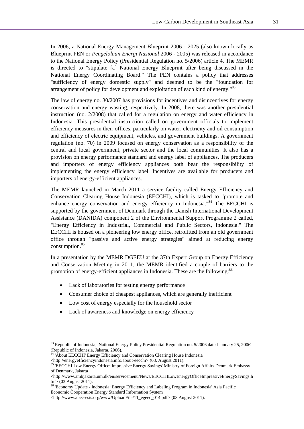In 2006, a National Energy Management Blueprint 2006 - 2025 (also known locally as Blueprint PEN or *Pengelolaan Energi Nasional* 2006 - 2005) was released in accordance to the National Energy Policy (Presidential Regulation no. 5/2006) article 4. The MEMR is directed to "stipulate [a] National Energy Blueprint after being discussed in the National Energy Coordinating Board." The PEN contains a policy that addresses "sufficiency of energy domestic supply" and deemed to be the "foundation for arrangement of policy for development and exploitation of each kind of energy."<sup>83</sup>

The law of energy no. 30/2007 has provisions for incentives and disincentives for energy conservation and energy wasting, respectively. In 2008, there was another presidential instruction (no. 2/2008) that called for a regulation on energy and water efficiency in Indonesia. This presidential instruction called on government officials to implement efficiency measures in their offices, particularly on water, electricity and oil consumption and efficiency of electric equipment, vehicles, and government buildings. A government regulation (no. 70) in 2009 focused on energy conservation as a responsibility of the central and local government, private sector and the local communities. It also has a provision on energy performance standard and energy label of appliances. The producers and importers of energy efficiency appliances both bear the responsibility of implementing the energy efficiency label. Incentives are available for producers and importers of energy-efficient appliances.

The MEMR launched in March 2011 a service facility called Energy Efficiency and Conservation Clearing House Indonesia (EECCHI), which is tasked to "promote and enhance energy conservation and energy efficiency in Indonesia."<sup>84</sup> The EECCHI is supported by the government of Denmark through the Danish International Development Assistance (DANIDA) component 2 of the Environmental Support Programme 2 called, "Energy Efficiency in Industrial, Commercial and Public Sectors, Indonesia." The EECCHI is housed on a pioneering low energy office, retrofitted from an old government office through "passive and active energy strategies" aimed at reducing energy consumption.<sup>85</sup>

In a presentation by the MEMR DGEEU at the 37th Expert Group on Energy Efficiency and Conservation Meeting in 2011, the MEMR identified a couple of barriers to the promotion of energy-efficient appliances in Indonesia. These are the following:<sup>86</sup>

- Lack of laboratories for testing energy performance
- Consumer choice of cheapest appliances, which are generally inefficient
- Low cost of energy especially for the household sector
- Lack of awareness and knowledge on energy efficiency

<sup>&</sup>lt;sup>83</sup> Republic of Indonesia, 'National Energy Policy Presidential Regulation no. 5/2006 dated January 25, 2006' (Republic of Indonesia, Jakarta, 2006).

 $84$  'About EECCHI' Energy Efficiency and Conservation Clearing House Indonesia<br><http://energyefficiencyindonesia.info/about-eecchi> (03. August 2011).

as 'EECCHI Low Energy Office: Impressive Energy Savings' Ministry of Foreign Affairs Denmark Embassy of Denmark, Jakarta

<sup>&</sup>lt;http://www.ambjakarta.um.dk/en/servicemenu/News/EECCHILowEnergyOfficeImpressiveEnergySavings.h tm> (03 August 2011).

<sup>&#</sup>x27;Economy Update - Indonesia: Energy Efficiency and Labeling Program in Indonesia' Asia Pacific Economic Cooperation Energy Standard Information System

<sup>&</sup>lt;http://www.apec-esis.org/www/UploadFile/11\_egeec\_014.pdf> (03 August 2011).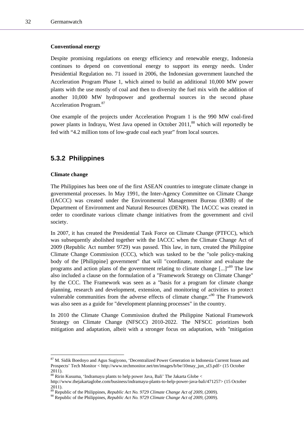#### **Conventional energy**

Despite promising regulations on energy efficiency and renewable energy, Indonesia continues to depend on conventional energy to support its energy needs. Under Presidential Regulation no. 71 issued in 2006, the Indonesian government launched the Acceleration Program Phase 1, which aimed to build an additional 10,000 MW power plants with the use mostly of coal and then to diversity the fuel mix with the addition of another 10,000 MW hydropower and geothermal sources in the second phase Acceleration Program.<sup>87</sup>

One example of the projects under Acceleration Program 1 is the 990 MW coal-fired power plants in Indrayu, West Java opened in October 2011,<sup>88</sup> which will reportedly be fed with "4.2 million tons of low-grade coal each year" from local sources.

### **5.3.2 Philippines**

#### **Climate change**

l

The Philippines has been one of the first ASEAN countries to integrate climate change in governmental processes. In May 1991, the Inter-Agency Committee on Climate Change (IACCC) was created under the Environmental Management Bureau (EMB) of the Department of Environment and Natural Resources (DENR). The IACCC was created in order to coordinate various climate change initiatives from the government and civil society.

In 2007, it has created the Presidential Task Force on Climate Change (PTFCC), which was subsequently abolished together with the IACCC when the Climate Change Act of 2009 (Republic Act number 9729) was passed. This law, in turn, created the Philippine Climate Change Commission (CCC), which was tasked to be the "sole policy-making body of the [Philippine] government" that will "coordinate, monitor and evaluate the programs and action plans of the government relating to climate change  $\left[\ldots\right]^{189}$  The law also included a clause on the formulation of a "Framework Strategy on Climate Change" by the CCC. The Framework was seen as a "basis for a program for climate change planning, research and development, extension, and monitoring of activities to protect vulnerable communities from the adverse effects of climate change."<sup>90</sup> The Framework was also seen as a guide for "development planning processes" in the country.

In 2010 the Climate Change Commission drafted the Philippine National Framework Strategy on Climate Change (NFSCC) 2010-2022. The NFSCC prioritizes both mitigation and adaptation, albeit with a stronger focus on adaptation, with "mitigation

<sup>&</sup>lt;sup>87</sup> M. Sidik Boedoyo and Agus Sugiyono, 'Decentralized Power Generation in Indonesia Current Issues and Prospects' Tech Monitor < http://www.techmonitor.net/tm/images/b/be/10may\_jun\_sf3.pdf> (15 October 2011).

<sup>&</sup>lt;sup>88</sup> Ririn Kusuma, 'Indramayu plants to help power Java, Bali' The Jakarta Globe <

http://www.thejakartaglobe.com/business/indramayu-plants-to-help-power-java-bali/471257> (15 October 2011).

<sup>&</sup>lt;sup>89</sup> Republic of the Philippines, *Republic Act No. 9729 Climate Change Act of 2009*, (2009).<br><sup>90</sup> Republic of the Philippines, *Republic Act No. 9729 Climate Change Act of 2009*, (2009).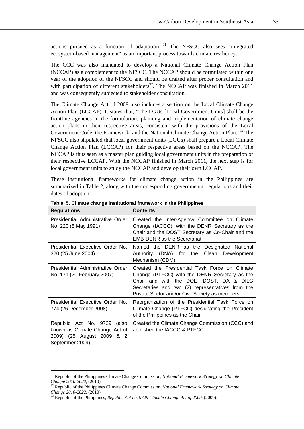actions pursued as a function of adaptation."91 The NFSCC also sees "integrated ecosystem-based management" as an important process towards climate resiliency.

The CCC was also mandated to develop a National Climate Change Action Plan (NCCAP) as a complement to the NFSCC. The NCCAP should be formulated within one year of the adoption of the NFSCC and should be drafted after proper consultation and with participation of different stakeholders<sup>92</sup>. The NCCAP was finished in March 2011 and was consequently subjected to stakeholder consultation.

The Climate Change Act of 2009 also includes a section on the Local Climate Change Action Plan (LCCAP). It states that, "The LGUs [Local Government Units] shall be the frontline agencies in the formulation, planning and implementation of climate change action plans in their respective areas, consistent with the provisions of the Local Government Code, the Framework, and the National Climate Change Action Plan."93 The NFSCC also stipulated that local government units (LGUs) shall prepare a Local Climate Change Action Plan (LCCAP) for their respective areas based on the NCCAP. The NCCAP is thus seen as a master plan guiding local government units in the preparation of their respective LCCAP. With the NCCAP finished in March 2011, the next step is for local government units to study the NCCAP and develop their own LCCAP.

These institutional frameworks for climate change action in the Philippines are summarized in Table 2, along with the corresponding governmental regulations and their dates of adoption.

| <b>Regulations</b>                                                                                               | Contents                                                                                                                                                                                                                                          |  |
|------------------------------------------------------------------------------------------------------------------|---------------------------------------------------------------------------------------------------------------------------------------------------------------------------------------------------------------------------------------------------|--|
| Presidential Administrative Order<br>No. 220 (8 May 1991)                                                        | Created the Inter-Agency Committee on Climate<br>Change (IACCC), with the DENR Secretary as the<br>Chair and the DOST Secretary as Co-Chair and the<br><b>EMB-DENR as the Secretariat</b>                                                         |  |
| Presidential Executive Order No.<br>320 (25 June 2004)                                                           | Named the DENR as the Designated National<br>Authority (DNA) for the Clean Development<br>Mechanism (CDM)                                                                                                                                         |  |
| Presidential Administrative Order<br>No. 171 (20 February 2007)                                                  | Created the Presidential Task Force on Climate<br>Change (PTFCC) with the DENR Secretary as the<br>Chair and with the DOE, DOST, DA & DILG<br>Secretaries and two (2) representatives from the<br>Private Sector and/or Civil Society as members, |  |
| Presidential Executive Order No.<br>774 (26 December 2008)                                                       | Reorganization of the Presidential Task Force on<br>Climate Change (PTFCC) designating the President<br>of the Philippines as the Chair                                                                                                           |  |
| Republic Act No. 9729<br>(also<br>known as Climate Change Act of<br>2009) (25 August 2009 & 2<br>September 2009) | Created the Climate Change Commission (CCC) and<br>abolished the IACCC & PTFCC                                                                                                                                                                    |  |

**Table 5. Climate change institutional framework in the Philippines** 

<sup>&</sup>lt;sup>91</sup> Republic of the Philippines Climate Change Commission, *National Framework Strategy on Climate*<br>Change 2010-2022, (2010).<br><sup>92</sup> Republic of the Philippines Climate Change Commission, *National Framework Strategy on Cli* 

<sup>&</sup>lt;sup>92</sup> Republic of the Philippines Climate Change Commission, *National Framework Strategy on Climate* Change 2010-2022, (2010).<br>
<sup>93</sup> Republic of the Philippines *Partitional Change Commission* 

*Republic of the Philippines, <i>Republic Act no.* 9729 *Climate Change Act of 2009*, (2009).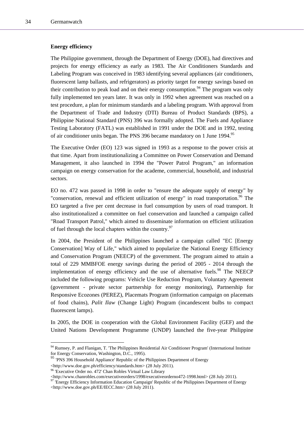#### **Energy efficiency**

The Philippine government, through the Department of Energy (DOE), had directives and projects for energy efficiency as early as 1983. The Air Conditioners Standards and Labeling Program was conceived in 1983 identifying several appliances (air conditioners, fluorescent lamp ballasts, and refrigerators) as priority target for energy savings based on their contribution to peak load and on their energy consumption.<sup>94</sup> The program was only fully implemented ten years later. It was only in 1992 when agreement was reached on a test procedure, a plan for minimum standards and a labeling program. With approval from the Department of Trade and Industry (DTI) Bureau of Product Standards (BPS), a Philippine National Standard (PNS) 396 was formally adopted. The Fuels and Appliance Testing Laboratory (FATL) was established in 1991 under the DOE and in 1992, testing of air conditioner units began. The PNS 396 became mandatory on 1 June 1994.<sup>95</sup>

The Executive Order (EO) 123 was signed in 1993 as a response to the power crisis at that time. Apart from institutionalizing a Committee on Power Conservation and Demand Management, it also launched in 1994 the "Power Patrol Program," an information campaign on energy conservation for the academe, commercial, household, and industrial sectors.

EO no. 472 was passed in 1998 in order to "ensure the adequate supply of energy" by "conservation, renewal and efficient utilization of energy" in road transportation.<sup>96</sup> The EO targeted a five per cent decrease in fuel consumption by users of road transport. It also institutionalized a committee on fuel conservation and launched a campaign called "Road Transport Patrol," which aimed to disseminate information on efficient utilization of fuel through the local chapters within the country.<sup>97</sup>

In 2004, the President of the Philippines launched a campaign called "EC [Energy Conservation] Way of Life," which aimed to popularize the National Energy Efficiency and Conservation Program (NEECP) of the government. The program aimed to attain a total of 229 MMBFOE energy savings during the period of 2005 - 2014 through the implementation of energy efficiency and the use of alternative fuels.<sup>98</sup> The NEECP included the following programs: Vehicle Use Reduction Program, Voluntary Agreement (government - private sector partnership for energy monitoring), Partnership for Responsive Ecozones (PEREZ), Placemats Program (information campaign on placemats of food chains), *Palit Ilaw* (Change Light) Program (incandescent bulbs to compact fluorescent lamps).

In 2005, the DOE in cooperation with the Global Environment Facility (GEF) and the United Nations Development Programme (UNDP) launched the five-year Philippine

<sup>94</sup> Rumsey, P. and Flanigan, T. 'The Philippines Residential Air Conditioner Program' (International Institute for Energy Conservation, Washington, D.C., 1995).

<sup>&</sup>lt;sup>95</sup> 'PNS 396 Household Appliance' Republic of the Philippines Department of Energy <http://www.doe.gov.ph/efficiency/standards.htm> (28 July 2011).

<sup>&</sup>lt;sup>96</sup> 'Executive Order no. 472' Chan Robles Virtual Law Library<br>
<http://www.chanrobles.com/executiveorders/1998/executiveorderno472-1998.html> (28 July 2011).

<sup>&</sup>lt;sup>97</sup> 'Energy Efficiency Information Education Campaign' Republic of the Philippines Department of Energy <http://www.doe.gov.ph/EE/IECC.htm> (28 July 2011).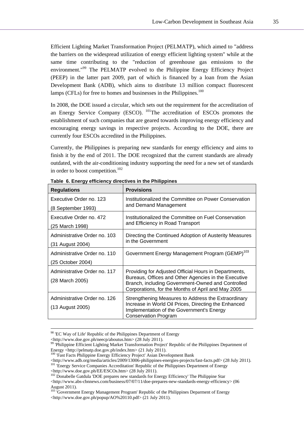Efficient Lighting Market Transformation Project (PELMATP), which aimed to "address the barriers on the widespread utilization of energy efficient lighting system" while at the same time contributing to the "reduction of greenhouse gas emissions to the environment."<sup>99</sup> The PELMATP evolved to the Philippine Energy Efficiency Project (PEEP) in the latter part 2009, part of which is financed by a loan from the Asian Development Bank (ADB), which aims to distribute 13 million compact fluorescent lamps (CFLs) for free to homes and businesses in the Philippines.<sup>100</sup>

In 2008, the DOE issued a circular, which sets out the requirement for the accreditation of an Energy Service Company (ESCO). 101The accreditation of ESCOs promotes the establishment of such companies that are geared towards improving energy efficiency and encouraging energy savings in respective projects. According to the DOE, there are currently four ESCOs accredited in the Philippines.

Currently, the Philippines is preparing new standards for energy efficiency and aims to finish it by the end of 2011. The DOE recognized that the current standards are already outdated, with the air-conditioning industry supporting the need for a new set of standards in order to boost competition.<sup>102</sup>

| <b>Regulations</b>                                | <b>Provisions</b>                                                                                                                                                                                                        |  |
|---------------------------------------------------|--------------------------------------------------------------------------------------------------------------------------------------------------------------------------------------------------------------------------|--|
| Executive Order no. 123<br>(8 September 1993)     | Institutionalized the Committee on Power Conservation<br>and Demand Management                                                                                                                                           |  |
| Executive Order no. 472<br>(25 March 1998)        | Institutionalized the Committee on Fuel Conservation<br>and Efficiency in Road Transport                                                                                                                                 |  |
| Administrative Order no. 103<br>(31 August 2004)  | Directing the Continued Adoption of Austerity Measures<br>in the Government                                                                                                                                              |  |
| Administrative Order no. 110<br>(25 October 2004) | Government Energy Management Program (GEMP) <sup>103</sup>                                                                                                                                                               |  |
| Administrative Order no. 117<br>(28 March 2005)   | Providing for Adjusted Official Hours in Departments,<br>Bureaus, Offices and Other Agencies in the Executive<br>Branch, including Government-Owned and Controlled<br>Corporations, for the Months of April and May 2005 |  |
| Administrative Order no. 126<br>(13 August 2005)  | Strengthening Measures to Address the Extraordinary<br>Increase in World Oil Prices, Directing the Enhanced<br>Implementation of the Government's Energy<br><b>Conservation Program</b>                                  |  |

**Table 6. Energy efficiency directives in the Philippines** 

<sup>&</sup>lt;sup>98</sup> 'EC Way of Life' Republic of the Philippines Department of Energy <http://www.doe.gov.ph/neecp/aboutus.htm> (28 July 2011).

<sup>&</sup>lt;sup>99</sup> 'Philippine Efficient Lighting Market Transformation Project' Republic of the Philippines Department of Energy <http://pelmatp.doe.gov.ph/index.htm> (21 July 2011).

<sup>&</sup>lt;sup>100</sup> 'Fast Facts Philippine Energy Efficiency Project' Asian Development Bank

Attp://www.adb.org/media/articles/2009/13006-philippines-energies-projects/fast-facts.pdf> (28 July 2011).<br>
<sup>101</sup> 'Energy Service Companies Accreditation' Republic of the Philippines Department of Energy<br>
Attp://www.doe.go

 $\frac{102}{102}$  Donabelle Gatdula 'DOE prepares new standards for Energy Efficiency' The Philippine Star

<sup>&</sup>lt;http://www.abs-cbnnews.com/business/07/07/11/doe-prepares-new-standards-energy-efficiency> (06 August 2011).

<sup>&</sup>lt;sup>103</sup> 'Government Energy Management Program' Republic of the Philippines Deparment of Energy  $\langle$ http://www.doe.gov.ph/popup/AO%20110.pdf> (21 July 2011).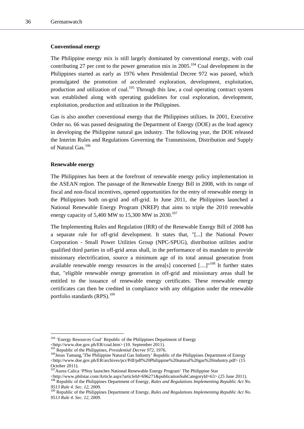#### **Conventional energy**

The Philippine energy mix is still largely dominated by conventional energy, with coal contributing 27 per cent to the power generation mix in  $2005$ .<sup>104</sup> Coal development in the Philippines started as early as 1976 when Presidential Decree 972 was passed, which promulgated the promotion of accelerated exploration, development, exploitation, production and utilization of coal.<sup>105</sup> Through this law, a coal operating contract system was established along with operating guidelines for coal exploration, development, exploitation, production and utilization in the Philippines.

Gas is also another conventional energy that the Philippines utilizes. In 2001, Executive Order no. 66 was passed designating the Department of Energy (DOE) as the lead agency in developing the Philippine natural gas industry. The following year, the DOE released the Interim Rules and Regulations Governing the Transmission, Distribution and Supply of Natural Gas.106

#### **Renewable energy**

l

The Philippines has been at the forefront of renewable energy policy implementation in the ASEAN region. The passage of the Renewable Energy Bill in 2008, with its range of fiscal and non-fiscal incentives, opened opportunities for the entry of renewable energy in the Philippines both on-grid and off-grid. In June 2011, the Philippines launched a National Renewable Energy Program (NREP) that aims to triple the 2010 renewable energy capacity of 5,400 MW to 15,300 MW in 2030.<sup>107</sup>

The Implementing Rules and Regulation (IRR) of the Renewable Energy Bill of 2008 has a separate rule for off-grid development. It states that, "[...] the National Power Corporation - Small Power Utilities Group (NPC-SPUG), distribution utilities and/or qualified third parties in off-grid areas shall, in the performance of its mandate to provide missionary electrification, source a minimum age of its total annual generation from available renewable energy resources in the area[s] concerned  $\lceil ... \rceil^{108}$  It further states that, "eligible renewable energy generation in off-grid and missionary areas shall be entitled to the issuance of renewable energy certificates. These renewable energy certificates can then be credited in compliance with any obligation under the renewable portfolio standards  $(RPS)$ .<sup>109</sup>

<sup>&</sup>lt;sup>104</sup> 'Energy Resources Coal' Republic of the Philippines Department of Energy  $\lt$ http://www.doe.gov.ph/ER/coal.htm> (10. September 2011).

<sup>&</sup>lt;sup>105</sup> Republic of the Philippines, *Presidential Decree 972*, 1976.<br><sup>105</sup> Republic of the Philippines, *Presidential Decree 972*, 1976.<br><sup>106</sup> Jesus Tamang, The Philippine Natural Gas Industry' Republic of the Philippines D <http://www.doe.gov.ph/ER/archives/pcr/Pdf/pdf%20Philippine%20natural%20gas%20industry.pdf> (15 October 2011).

<sup>&</sup>lt;sup>107</sup>Aurea Calica 'PNoy launches National Renewable Energy Program' The Philippine Star

<sup>&</sup>lt;http://www.philstar.com/Article.aspx?articleId=696271&publicationSubCategoryId=63> (25 June 2011). 108 Republic of the Philippines Department of Energy, *Rules and Regulations Implementing Republic Act No.* 

*<sup>9513</sup> Rule 4. Sec. 12, 2009.*<br><sup>109</sup> Republic of the Philippines Department of Energy, *Rules and Regulations Implementing Republic Act No.* 

*<sup>9513</sup> Rule 4. Sec. 12*, 2009.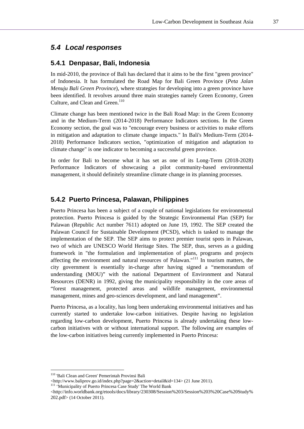# *5.4 Local responses*

### **5.4.1 Denpasar, Bali, Indonesia**

In mid-2010, the province of Bali has declared that it aims to be the first "green province" of Indonesia. It has formulated the Road Map for Bali Green Province (*Peta Jalan Menuju Bali Green Province*), where strategies for developing into a green province have been identified. It revolves around three main strategies namely Green Economy, Green Culture, and Clean and Green.<sup>110</sup>

Climate change has been mentioned twice in the Bali Road Map: in the Green Economy and in the Medium-Term (2014-2018) Performance Indicators sections. In the Green Economy section, the goal was to "encourage every business or activities to make efforts in mitigation and adaptation to climate change impacts." In Bali's Medium-Term (2014- 2018) Performance Indicators section, "optimization of mitigation and adaptation to climate change" is one indicator to becoming a successful green province.

In order for Bali to become what it has set as one of its Long-Term (2018-2028) Performance Indicators of showcasing a pilot community-based environmental management, it should definitely streamline climate change in its planning processes.

### **5.4.2 Puerto Princesa, Palawan, Philippines**

Puerto Princesa has been a subject of a couple of national legislations for environmental protection. Puerto Princesa is guided by the Strategic Environmental Plan (SEP) for Palawan (Republic Act number 7611) adopted on June 19, 1992. The SEP created the Palawan Council for Sustainable Development (PCSD), which is tasked to manage the implementation of the SEP. The SEP aims to protect premier tourist spots in Palawan, two of which are UNESCO World Heritage Sites. The SEP, thus, serves as a guiding framework in "the formulation and implementation of plans, programs and projects affecting the environment and natural resources of Palawan."111 In tourism matters, the city government is essentially in-charge after having signed a "memorandum of understanding (MOU)" with the national Department of Environment and Natural Resources (DENR) in 1992, giving the municipality responsibility in the core areas of "forest management, protected areas and wildlife management, environmental management, mines and geo-sciences development, and land management".

Puerto Princesa, as a locality, has long been undertaking environmental initiatives and has currently started to undertake low-carbon initiatives. Despite having no legislation regarding low-carbon development, Puerto Princesa is already undertaking these lowcarbon initiatives with or without international support. The following are examples of the low-carbon initiatives being currently implemented in Puerto Princesa:

<sup>&</sup>lt;sup>110</sup> 'Bali Clean and Green' Pemerintah Provinsi Bali<br>
<http://www.baliprov.go.id/index.php?page=2&action=detail&id=134> (21 June 2011).

<sup>111 &#</sup>x27;Municipality of Puerto Princesa Case Study' The World Bank

<sup>&</sup>lt;http://info.worldbank.org/etools/docs/library/230308/Session%203/Session%203%20Case%20Study% 202.pdf> (14 October 2011).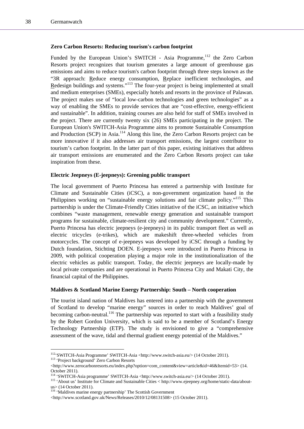l

#### **Zero Carbon Resorts: Reducing tourism's carbon footprint**

Funded by the European Union's SWITCH - Asia Programme,<sup>112</sup> the Zero Carbon Resorts project recognizes that tourism generates a large amount of greenhouse gas emissions and aims to reduce tourism's carbon footprint through three steps known as the "3R approach: Reduce energy consumption, Replace inefficient technologies, and Redesign buildings and systems."113 The four-year project is being implemented at small and medium enterprises (SMEs), especially hotels and resorts in the province of Palawan. The project makes use of "local low-carbon technologies and green technologies" as a way of enabling the SMEs to provide services that are "cost-effective, energy-efficient and sustainable". In addition, training courses are also held for staff of SMEs involved in the project. There are currently twenty six (26) SMEs participating in the project. The European Union's SWITCH-Asia Programme aims to promote Sustainable Consumption and Production (SCP) in Asia.<sup>114</sup> Along this line, the Zero Carbon Resorts project can be more innovative if it also addresses air transport emissions, the largest contributor to tourism's carbon footprint. In the latter part of this paper, existing initiatives that address air transport emissions are enumerated and the Zero Carbon Resorts project can take inspiration from these.

#### **Electric Jeepneys (E-jeepneys): Greening public transport**

The local government of Puerto Princesa has entered a partnership with Institute for Climate and Sustainable Cities (iCSC), a non-government organization based in the Philippines working on "sustainable energy solutions and fair climate policy."<sup>115</sup> This partnership is under the Climate-Friendly Cities initiative of the iCSC, an initiative which combines "waste management, renewable energy generation and sustainable transport programs for sustainable, climate-resilient city and community development." Currently, Puerto Princesa has electric jeepneys (e-jeepneys) in its public transport fleet as well as electric tricycles (e-trikes), which are makeshift three-wheeled vehicles from motorcycles. The concept of e-jeepneys was developed by iCSC through a funding by Dutch foundation, Stichting DOEN. E-jeepneys were introduced in Puerto Princesa in 2009, with political cooperation playing a major role in the institutionalization of the electric vehicles as public transport. Today, the electric jeepneys are locally-made by local private companies and are operational in Puerto Princesa City and Makati City, the financial capital of the Philippines.

#### **Maldives & Scotland Marine Energy Partnership: South – North cooperation**

The tourist island nation of Maldives has entered into a partnership with the government of Scotland to develop "marine energy" sources in order to reach Maldives' goal of becoming carbon-neutral.<sup>116</sup> The partnership was reported to start with a feasibility study by the Robert Gordon University, which is said to be a member of Scotland's Energy Technology Partnership (ETP). The study is envisioned to give a "comprehensive assessment of the wave, tidal and thermal gradient energy potential of the Maldives."

<sup>112&#</sup>x27;SWITCH-Asia Programme' SWITCH-Asia <http://www.switch-asia.eu/> (14 October 2011). 113 'Project background' Zero Carbon Resorts

<sup>&</sup>lt;http://www.zerocarbonresorts.eu/index.php?option=com\_content&view=article&id=46&Itemid=53> (14. October 2011).<br><sup>114</sup> 'SWITCH-Asia programme' SWITCH-Asia <http://www.switch-asia.eu/> (14 October 2011).

<sup>&</sup>lt;sup>115</sup> 'About us' Institute for Climate and Sustainable Cities < http://www.ejeepney.org/home/static-data/aboutus> (14 October 2011).

<sup>&</sup>lt;sup>116</sup> 'Maldives marine energy partnership' The Scottish Government

<sup>&</sup>lt;http://www.scotland.gov.uk/News/Releases/2010/12/08131508> (15 October 2011).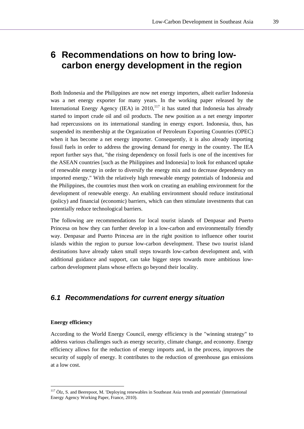# **6 Recommendations on how to bring lowcarbon energy development in the region**

Both Indonesia and the Philippines are now net energy importers, albeit earlier Indonesia was a net energy exporter for many years. In the working paper released by the International Energy Agency (IEA) in  $2010$ ,<sup>117</sup> it has stated that Indonesia has already started to import crude oil and oil products. The new position as a net energy importer had repercussions on its international standing in energy export. Indonesia, thus, has suspended its membership at the Organization of Petroleum Exporting Countries (OPEC) when it has become a net energy importer. Consequently, it is also already importing fossil fuels in order to address the growing demand for energy in the country. The IEA report further says that, "the rising dependency on fossil fuels is one of the incentives for the ASEAN countries [such as the Philippines and Indonesia] to look for enhanced uptake of renewable energy in order to diversify the energy mix and to decrease dependency on imported energy." With the relatively high renewable energy potentials of Indonesia and the Philippines, the countries must then work on creating an enabling environment for the development of renewable energy. An enabling environment should reduce institutional (policy) and financial (economic) barriers, which can then stimulate investments that can potentially reduce technological barriers.

The following are recommendations for local tourist islands of Denpasar and Puerto Princesa on how they can further develop in a low-carbon and environmentally friendly way. Denpasar and Puerto Princesa are in the right position to influence other tourist islands within the region to pursue low-carbon development. These two tourist island destinations have already taken small steps towards low-carbon development and, with additional guidance and support, can take bigger steps towards more ambitious lowcarbon development plans whose effects go beyond their locality.

# *6.1 Recommendations for current energy situation*

#### **Energy efficiency**

l

According to the World Energy Council, energy efficiency is the "winning strategy" to address various challenges such as energy security, climate change, and economy. Energy efficiency allows for the reduction of energy imports and, in the process, improves the security of supply of energy. It contributes to the reduction of greenhouse gas emissions at a low cost.

<sup>117</sup> Ölz, S. and Beerepoot, M. 'Deploying renewables in Southeast Asia trends and potentials' (International Energy Agency Working Paper, France, 2010).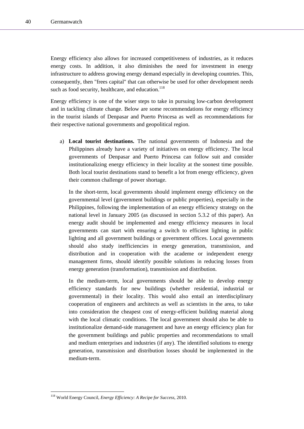Energy efficiency also allows for increased competitiveness of industries, as it reduces energy costs. In addition, it also diminishes the need for investment in energy infrastructure to address growing energy demand especially in developing countries. This, consequently, then "frees capital" that can otherwise be used for other development needs such as food security, healthcare, and education. $118$ 

Energy efficiency is one of the wiser steps to take in pursuing low-carbon development and in tackling climate change. Below are some recommendations for energy efficiency in the tourist islands of Denpasar and Puerto Princesa as well as recommendations for their respective national governments and geopolitical region.

a) **Local tourist destinations.** The national governments of Indonesia and the Philippines already have a variety of initiatives on energy efficiency. The local governments of Denpasar and Puerto Princesa can follow suit and consider institutionalizing energy efficiency in their locality at the soonest time possible. Both local tourist destinations stand to benefit a lot from energy efficiency, given their common challenge of power shortage.

In the short-term, local governments should implement energy efficiency on the governmental level (government buildings or public properties), especially in the Philippines, following the implementation of an energy efficiency strategy on the national level in January 2005 (as discussed in section 5.3.2 of this paper). An energy audit should be implemented and energy efficiency measures in local governments can start with ensuring a switch to efficient lighting in public lighting and all government buildings or government offices. Local governments should also study inefficiencies in energy generation, transmission, and distribution and in cooperation with the academe or independent energy management firms, should identify possible solutions in reducing losses from energy generation (transformation), transmission and distribution.

In the medium-term, local governments should be able to develop energy efficiency standards for new buildings (whether residential, industrial or governmental) in their locality. This would also entail an interdisciplinary cooperation of engineers and architects as well as scientists in the area, to take into consideration the cheapest cost of energy-efficient building material along with the local climatic conditions. The local government should also be able to institutionalize demand-side management and have an energy efficiency plan for the government buildings and public properties and recommendations to small and medium enterprises and industries (if any). The identified solutions to energy generation, transmission and distribution losses should be implemented in the medium-term.

<sup>118</sup> World Energy Council, *Energy Efficiency: A Recipe for Success*, 2010.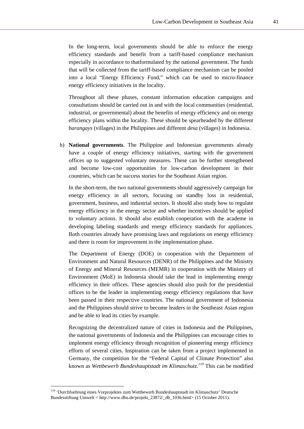In the long-term, local governments should be able to enforce the energy efficiency standards and benefit from a tariff-based compliance mechanism especially in accordance to thatformulated by the national government. The funds that will be collected from the tariff-based compliance mechanism can be pooled into a local "Energy Efficiency Fund," which can be used to micro-finance energy efficiency initiatives in the locality.

Throughout all these phases, constant information education campaigns and consultations should be carried out in and with the local communities (residential, industrial, or governmental) about the benefits of energy efficiency and on energy efficiency plans within the locality. These should be spearheaded by the different *barangays* (villages) in the Philippines and different *desa* (villages) in Indonesia.

b) **National governments**. The Philippine and Indonesian governments already have a couple of energy efficiency initiatives, starting with the government offices up to suggested voluntary measures. These can be further strengthened and become low-cost opportunities for low-carbon development in their countries, which can be success stories for the Southeast Asian region.

In the short-term, the two national governments should aggressively campaign for energy efficiency in all sectors, focusing on standby loss in residential, government, business, and industrial sectors. It should also study how to regulate energy efficiency in the energy sector and whether incentives should be applied to voluntary actions. It should also establish cooperation with the academe in developing labeling standards and energy efficiency standards for appliances. Both countries already have promising laws and regulations on energy efficiency and there is room for improvement in the implementation phase.

The Department of Energy (DOE) in cooperation with the Department of Environment and Natural Resources (DENR) of the Philippines and the Ministry of Energy and Mineral Resources (MEMR) in cooperation with the Ministry of Environment (MoE) in Indonesia should take the lead in implementing energy efficiency in their offices. These agencies should also push for the presidential offices to be the leader in implementing energy efficiency regulations that have been passed in their respective countries. The national government of Indonesia and the Philippines should strive to become leaders in the Southeast Asian region and be able to lead its cities by example.

Recognizing the decentralized nature of cities in Indonesia and the Philippines, the national governments of Indonesia and the Philippines can encourage cities to implement energy efficiency through recognition of pioneering energy efficiency efforts of several cities. Inspiration can be taken from a project implemented in Germany, the competition for the "Federal Capital of Climate Protection" also known as *Wettbewerb Bundeshauptstadt im Klimaschutz.119* This can be modified

<sup>119 &#</sup>x27;Durchfuehrung eines Vorprojektes zum Wettbewerb Bundeshauptstadt im Klimaschutz' Deutsche Bundesstiftung Umwelt < http://www.dbu.de/projekt\_23872/\_db\_1036.html> (15 October 2011).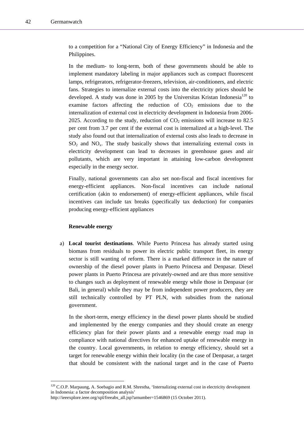to a competition for a "National City of Energy Efficiency" in Indonesia and the Philippines.

In the medium- to long-term, both of these governments should be able to implement mandatory labeling in major appliances such as compact fluorescent lamps, refrigerators, refrigerator-freezers, television, air-conditioners, and electric fans. Strategies to internalize external costs into the electricity prices should be developed. A study was done in 2005 by the Universitas Kristan Indonesia<sup>120</sup> to examine factors affecting the reduction of  $CO<sub>2</sub>$  emissions due to the internalization of external cost in electricity development in Indonesia from 2006- 2025. According to the study, reduction of  $CO<sub>2</sub>$  emissions will increase to 82.5 per cent from 3.7 per cent if the external cost is internalized at a high-level. The study also found out that internalization of external costs also leads to decrease in  $SO<sub>2</sub>$  and  $NO<sub>x</sub>$ . The study basically shows that internalizing external costs in electricity development can lead to decreases in greenhouse gases and air pollutants, which are very important in attaining low-carbon development especially in the energy sector.

Finally, national governments can also set non-fiscal and fiscal incentives for energy-efficient appliances. Non-fiscal incentives can include national certification (akin to endorsement) of energy-efficient appliances, while fiscal incentives can include tax breaks (specifically tax deduction) for companies producing energy-efficient appliances

#### **Renewable energy**

l

a) **Local tourist destinations**. While Puerto Princesa has already started using biomass from residuals to power its electric public transport fleet, its energy sector is still wanting of reform. There is a marked difference in the nature of ownership of the diesel power plants in Puerto Princesa and Denpasar. Diesel power plants in Puerto Princesa are privately-owned and are thus more sensitive to changes such as deployment of renewable energy while those in Denpasar (or Bali, in general) while they may be from independent power producers, they are still technically controlled by PT PLN, with subsidies from the national government.

In the short-term, energy efficiency in the diesel power plants should be studied and implemented by the energy companies and they should create an energy efficiency plan for their power plants and a renewable energy road map in compliance with national directives for enhanced uptake of renewable energy in the country. Local governments, in relation to energy efficiency, should set a target for renewable energy within their locality (in the case of Denpasar, a target that should be consistent with the national target and in the case of Puerto

<sup>&</sup>lt;sup>120</sup> C.O.P. Marpaung, A. Soebagio and R.M. Shrestha, 'Internalizing external cost in electricity development in Indonesia: a factor decomposition analysis'

http://ieeexplore.ieee.org/xpl/freeabs\_all.jsp?arnumber=1546869 (15 October 2011).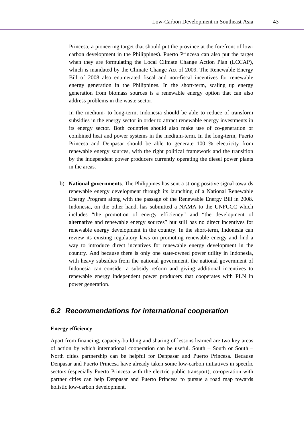Princesa, a pioneering target that should put the province at the forefront of lowcarbon development in the Philippines). Puerto Princesa can also put the target when they are formulating the Local Climate Change Action Plan (LCCAP), which is mandated by the Climate Change Act of 2009. The Renewable Energy Bill of 2008 also enumerated fiscal and non-fiscal incentives for renewable energy generation in the Philippines. In the short-term, scaling up energy generation from biomass sources is a renewable energy option that can also address problems in the waste sector.

In the medium- to long-term, Indonesia should be able to reduce of transform subsidies in the energy sector in order to attract renewable energy investments in its energy sector. Both countries should also make use of co-generation or combined heat and power systems in the medium-term. In the long-term, Puerto Princesa and Denpasar should be able to generate 100 % electricity from renewable energy sources, with the right political framework and the transition by the independent power producers currently operating the diesel power plants in the areas.

b) **National governments**. The Philippines has sent a strong positive signal towards renewable energy development through its launching of a National Renewable Energy Program along with the passage of the Renewable Energy Bill in 2008. Indonesia, on the other hand, has submitted a NAMA to the UNFCCC which includes "the promotion of energy efficiency" and "the development of alternative and renewable energy sources" but still has no direct incentives for renewable energy development in the country. In the short-term, Indonesia can review its existing regulatory laws on promoting renewable energy and find a way to introduce direct incentives for renewable energy development in the country. And because there is only one state-owned power utility in Indonesia, with heavy subsidies from the national government, the national government of Indonesia can consider a subsidy reform and giving additional incentives to renewable energy independent power producers that cooperates with PLN in power generation.

### *6.2 Recommendations for international cooperation*

#### **Energy efficiency**

Apart from financing, capacity-building and sharing of lessons learned are two key areas of action by which international cooperation can be useful. South  $-$  South  $-$ North cities partnership can be helpful for Denpasar and Puerto Princesa. Because Denpasar and Puerto Princesa have already taken some low-carbon initiatives in specific sectors (especially Puerto Princesa with the electric public transport), co-operation with partner cities can help Denpasar and Puerto Princesa to pursue a road map towards holistic low-carbon development.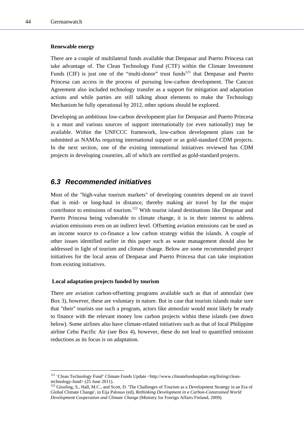l

#### **Renewable energy**

There are a couple of multilateral funds available that Denpasar and Puerto Princesa can take advantage of. The Clean Technology Fund (CTF) within the Climate Investment Funds (CIF) is just one of the "multi-donor" trust funds<sup>121</sup> that Denpasar and Puerto Princesa can access in the process of pursuing low-carbon development. The Cancun Agreement also included technology transfer as a support for mitigation and adaptation actions and while parties are still talking about elements to make the Technology Mechanism be fully operational by 2012, other options should be explored.

Developing an ambitious low-carbon development plan for Denpasar and Puerto Princesa is a must and various sources of support internationally (or even nationally) may be available. Within the UNFCCC framework, low-carbon development plans can be submitted as NAMAs requiring international support or as gold-standard CDM projects. In the next section, one of the existing international initiatives reviewed has CDM projects in developing countries, all of which are certified as gold-standard projects.

# *6.3 Recommended initiatives*

Most of the "high-value tourism markets" of developing countries depend on air travel that is mid- or long-haul in distance, thereby making air travel by far the major contributor to emissions of tourism.<sup>122</sup> With tourist island destinations like Denpasar and Puerto Princesa being vulnerable to climate change, it is in their interest to address aviation emissions even on an indirect level. Offsetting aviation emissions can be used as an income source to co-finance a low carbon strategy within the islands. A couple of other issues identified earlier in this paper such as waste management should also be addressed in light of tourism and climate change. Below are some recommended project initiatives for the local areas of Denpasar and Puerto Princesa that can take inspiration from existing initiatives.

#### **Local adaptation projects funded by tourism**

There are aviation carbon-offsetting programs available such as that of atmosfair (see Box 3), however, these are voluntary in nature. But in case that tourists islands make sure that "their" tourists use such a program, actors like atmosfair would most likely be ready to finance with the relevant money low carbon projects within these islands (see down below). Some airlines also have climate-related initiatives such as that of local Philippine airline Cebu Pacific Air (see Box 4), however, these do not lead to quantified emission reductions as its focus is on adaptation.

<sup>&</sup>lt;sup>121</sup> 'Clean Technology Fund' Climate Funds Update <http://www.climatefundsupdate.org/listing/cleantechnology-fund> (25 June 2011).

<sup>&</sup>lt;sup>122</sup> Gössling, S., Hall, M.C., and Scott, D. 'The Challenges of Tourism as a Development Strategy in an Era of Global Climate Change', in Eija Palosuo (ed), *Rethinking Development in a Carbon-Constrained World Development Cooperation and Climate Change* (Ministry for Foreign Affairs Finland, 2009).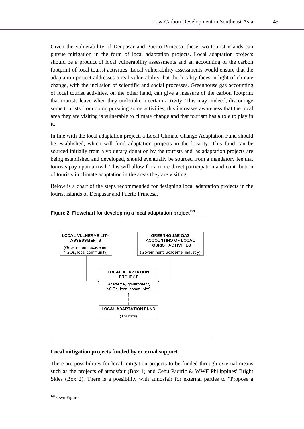Given the vulnerability of Denpasar and Puerto Princesa, these two tourist islands can pursue mitigation in the form of local adaptation projects. Local adaptation projects should be a product of local vulnerability assessments and an accounting of the carbon footprint of local tourist activities. Local vulnerability assessments would ensure that the adaptation project addresses a real vulnerability that the locality faces in light of climate change, with the inclusion of scientific and social processes. Greenhouse gas accounting of local tourist activities, on the other hand, can give a measure of the carbon footprint that tourists leave when they undertake a certain activity. This may, indeed, discourage some tourists from doing pursuing some activities, this increases awareness that the local area they are visiting is vulnerable to climate change and that tourism has a role to play in it.

In line with the local adaptation project, a Local Climate Change Adaptation Fund should be established, which will fund adaptation projects in the locality. This fund can be sourced initially from a voluntary donation by the tourists and, as adaptation projects are being established and developed, should eventually be sourced from a mandatory fee that tourists pay upon arrival. This will allow for a more direct participation and contribution of tourists in climate adaptation in the areas they are visiting.

Below is a chart of the steps recommended for designing local adaptation projects in the tourist islands of Denpasar and Puerto Princesa.





### **Local mitigation projects funded by external support**

There are possibilities for local mitigation projects to be funded through external means such as the projects of atmosfair (Box 1) and Cebu Pacific & WWF Philippines' Bright Skies (Box 2). There is a possibility with atmosfair for external parties to "Propose a

<sup>&</sup>lt;sup>123</sup> Own Figure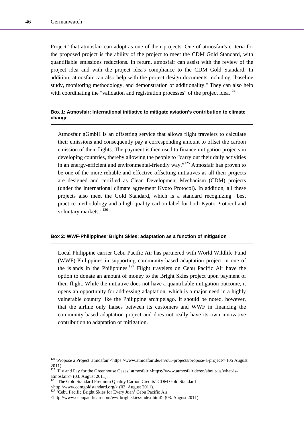Project" that atmosfair can adopt as one of their projects. One of atmosfair's criteria for the proposed project is the ability of the project to meet the CDM Gold Standard, with quantifiable emissions reductions. In return, atmosfair can assist with the review of the project idea and with the project idea's compliance to the CDM Gold Standard. In addition, atmosfair can also help with the project design documents including "baseline study, monitoring methodology, and demonstration of additionality." They can also help with coordinating the "validation and registration processes" of the project idea.<sup>124</sup>

#### **Box 1: Atmosfair: International initiative to mitigate aviation's contribution to climate change**

Atmosfair gGmbH is an offsetting service that allows flight travelers to calculate their emissions and consequently pay a corresponding amount to offset the carbon emission of their flights. The payment is then used to finance mitigation projects in developing countries, thereby allowing the people to "carry out their daily activities in an energy-efficient and environmental-friendly way."125 Atmosfair has proven to be one of the more reliable and effective offsetting initiatives as all their projects are designed and certified as Clean Development Mechanism (CDM) projects (under the international climate agreement Kyoto Protocol). In addition, all these projects also meet the Gold Standard, which is a standard recognizing "best practice methodology and a high quality carbon label for both Kyoto Protocol and voluntary markets."<sup>126</sup>

#### **Box 2: WWF-Philippines' Bright Skies: adaptation as a function of mitigation**

Local Philippine carrier Cebu Pacific Air has partnered with World Wildlife Fund (WWF)-Philippines in supporting community-based adaptation project in one of the islands in the Philippines.<sup>127</sup> Flight travelers on Cebu Pacific Air have the option to donate an amount of money to the Bright Skies project upon payment of their flight. While the initiative does not have a quantifiable mitigation outcome, it opens an opportunity for addressing adaptation, which is a major need in a highly vulnerable country like the Philippine archipelago. It should be noted, however, that the airline only liaises between its customers and WWF in financing the community-based adaptation project and does not really have its own innovative contribution to adaptation or mitigation.

<sup>&</sup>lt;sup>124</sup> 'Propose a Project' atmosfair <https://www.atmosfair.de/en/our-projects/propose-a-project/> (05 August 2011).

<sup>&</sup>lt;sup>125</sup> 'Fly and Pay for the Greenhouse Gases' atmosfair <https://www.atmosfair.de/en/about-us/what-isatmosfair/> (03. August 2011).

<sup>&</sup>lt;sup>126</sup> 'The Gold Standard Premium Quality Carbon Credits' CDM Gold Standard

<sup>&</sup>lt;http://www.cdmgoldstandard.org/> (03. August 2011). 127 'Cebu Pacific Bright Skies for Every Juan' Cebu Pacific Air

<sup>&</sup>lt;http://www.cebupacificair.com/wwfbrightskies/index.html> (03. August 2011).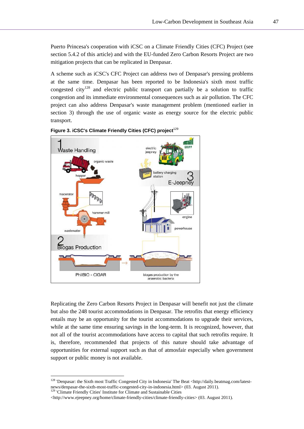Puerto Princesa's cooperation with iCSC on a Climate Friendly Cities (CFC) Project (see section 5.4.2 of this article) and with the EU-funded Zero Carbon Resorts Project are two mitigation projects that can be replicated in Denpasar.

A scheme such as iCSC's CFC Project can address two of Denpasar's pressing problems at the same time. Denpasar has been reported to be Indonesia's sixth most traffic congested city<sup>128</sup> and electric public transport can partially be a solution to traffic congestion and its immediate environmental consequences such as air pollution. The CFC project can also address Denpasar's waste management problem (mentioned earlier in section 3) through the use of organic waste as energy source for the electric public transport.





Replicating the Zero Carbon Resorts Project in Denpasar will benefit not just the climate but also the 248 tourist accommodations in Denpasar. The retrofits that energy efficiency entails may be an opportunity for the tourist accommodations to upgrade their services, while at the same time ensuring savings in the long-term. It is recognized, however, that not all of the tourist accommodations have access to capital that such retrofits require. It is, therefore, recommended that projects of this nature should take advantage of opportunities for external support such as that of atmosfair especially when government support or public money is not available.

<sup>128 &#</sup>x27;Denpasar: the Sixth most Traffic Congested City in Indonesia' The Beat <http://daily.beatmag.com/latestnews/denpasar-the-sixth-most-traffic-congested-city-in-indonesia.html> (03. August 2011). 129 'Climate Friendly Cities' Institute for Climate and Sustainable Cities

<sup>&</sup>lt;http://www.ejeepney.org/home/climate-friendly-cities/climate-friendly-cities> (03. August 2011).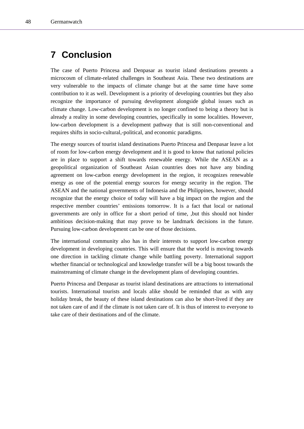# **7 Conclusion**

The case of Puerto Princesa and Denpasar as tourist island destinations presents a microcosm of climate-related challenges in Southeast Asia. These two destinations are very vulnerable to the impacts of climate change but at the same time have some contribution to it as well. Development is a priority of developing countries but they also recognize the importance of pursuing development alongside global issues such as climate change. Low-carbon development is no longer confined to being a theory but is already a reality in some developing countries, specifically in some localities. However, low-carbon development is a development pathway that is still non-conventional and requires shifts in socio-cultural,-political, and economic paradigms.

The energy sources of tourist island destinations Puerto Princesa and Denpasar leave a lot of room for low-carbon energy development and it is good to know that national policies are in place to support a shift towards renewable energy. While the ASEAN as a geopolitical organization of Southeast Asian countries does not have any binding agreement on low-carbon energy development in the region, it recognizes renewable energy as one of the potential energy sources for energy security in the region. The ASEAN and the national governments of Indonesia and the Philippines, however, should recognize that the energy choice of today will have a big impact on the region and the respective member countries' emissions tomorrow. It is a fact that local or national governments are only in office for a short period of time, ,but this should not hinder ambitious decision-making that may prove to be landmark decisions in the future. Pursuing low-carbon development can be one of those decisions.

The international community also has in their interests to support low-carbon energy development in developing countries. This will ensure that the world is moving towards one direction in tackling climate change while battling poverty. International support whether financial or technological and knowledge transfer will be a big boost towards the mainstreaming of climate change in the development plans of developing countries.

Puerto Princesa and Denpasar as tourist island destinations are attractions to international tourists. International tourists and locals alike should be reminded that as with any holiday break, the beauty of these island destinations can also be short-lived if they are not taken care of and if the climate is not taken care of. It is thus of interest to everyone to take care of their destinations and of the climate.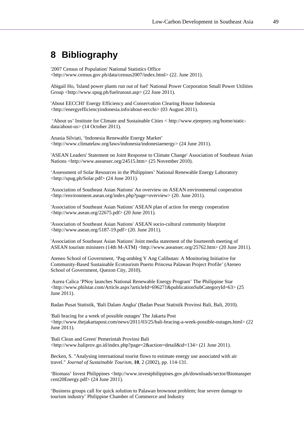# **8 Bibliography**

'2007 Census of Population' National Statistics Office <http://www.census.gov.ph/data/census2007/index.html> (22. June 2011).

Abigail Ho, 'Island power plants run out of fuel' National Power Corporation Small Power Utilities Group <http://www.spug.ph/fuelrunout.asp> (22 June 2011).

'About EECCHI' Energy Efficiency and Conservation Clearing House Indonesia <http://energyefficiencyindonesia.info/about-eecchi> (03 August 2011).

 'About us' Institute for Climate and Sustainable Cities < http://www.ejeepney.org/home/staticdata/about-us> (14 October 2011).

Anasia Silviati, 'Indonesia Renewable Energy Market' <http://www.climatelaw.org/laws/indonesia/indonesiaenergy> (24 June 2011).

'ASEAN Leaders' Statement on Joint Response to Climate Change' Association of Southeast Asian Nations <http://www.aseansec.org/24515.htm> (25 November 2010).

'Assessment of Solar Resources in the Philippines' National Renewable Energy Laboratory <http://spug.ph/Solar.pdf> (24 June 2011).

'Association of Southeast Asian Nations' An overview on ASEAN environmental cooperation <http://environment.asean.org/index.php?page=overview> (20. June 2011).

'Association of Southeast Asian Nations' ASEAN plan of action for energy cooperation <http://www.asean.org/22675.pdf> (20 June 2011).

'Association of Southeast Asian Nations' ASEAN socio-cultural community blueprint <http://www.asean.org/5187-19.pdf> (20. June 2011).

'Association of Southeast Asian Nations' Joint media statement of the fourteenth meeting of ASEAN tourism ministers (14th M-ATM) <http://www.aseansec.org/25762.htm> (20 June 2011).

Ateneo School of Government, 'Pag-ambleg Y Ang Calibutan: A Monitoring Initiative for Community-Based Sustainable Ecotourism Puerto Princesa Palawan Project Profile' (Ateneo School of Government, Quezon City, 2010).

 Aurea Calica 'PNoy launches National Renewable Energy Program' The Philippine Star <http://www.philstar.com/Article.aspx?articleId=696271&publicationSubCategoryId=63> (25 June 2011).

Badan Pusat Statistik, 'Bali Dalam Angka' (Badan Pusat Statistik Provinsi Bali, Bali, 2010).

'Bali bracing for a week of possible outages' The Jakarta Post <http://www.thejakartapost.com/news/2011/03/25/bali-bracing-a-week-possible-outages.html> (22 June 2011).

'Bali Clean and Green' Pemerintah Provinsi Bali <http://www.baliprov.go.id/index.php?page=2&action=detail&id=134> (21 June 2011).

Becken, S. "Analysing international tourist flows to estimate energy use associated with air travel." *Journal of Sustainable Tourism*, **10**, 2 (2002), pp. 114-131.

'Biomass' Invest Philippines <http://www.investphilippines.gov.ph/downloads/sector/Biomassper cent20Energy.pdf> (24 June 2011).

'Business groups call for quick solution to Palawan brownout problem; fear severe damage to tourism industry' Philippine Chamber of Commerce and Industry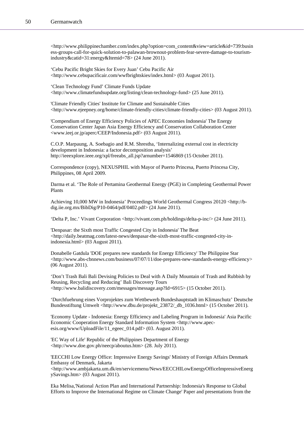<http://www.philippinechamber.com/index.php?option=com\_content&view=article&id=739:busin ess-groups-call-for-quick-solution-to-palawan-brownout-problem-fear-severe-damage-to-tourismindustry&catid=31:energy&Itemid=78> (24 June 2011).

'Cebu Pacific Bright Skies for Every Juan' Cebu Pacific Air <http://www.cebupacificair.com/wwfbrightskies/index.html> (03 August 2011).

'Clean Technology Fund' Climate Funds Update <http://www.climatefundsupdate.org/listing/clean-technology-fund> (25 June 2011).

'Climate Friendly Cities' Institute for Climate and Sustainable Cities <http://www.ejeepney.org/home/climate-friendly-cities/climate-friendly-cities> (03 August 2011).

'Compendium of Energy Efficiency Policies of APEC Economies Indonesia' The Energy Conservation Center Japan Asia Energy Efficiency and Conservation Collaboration Center <www.ieej.or.jp/aperc/CEEP/Indonesia.pdf> (03 August 2011).

C.O.P. Marpaung, A. Soebagio and R.M. Shrestha, 'Internalizing external cost in electricity development in Indonesia: a factor decomposition analysis' http://ieeexplore.ieee.org/xpl/freeabs\_all.jsp?arnumber=1546869 (15 October 2011).

Correspondence (copy), NEXUSPHIL with Mayor of Puerto Princesa, Puerto Princesa City, Philippines, 08 April 2009.

Darma et al. 'The Role of Pertamina Geothermal Energy (PGE) in Completing Geothermal Power Plants

Achieving 10,000 MW in Indonesia' Proceedings World Geothermal Congress 20120 <http://bdig.iie.org.mx/BibDig/P10-0464/pdf/0402.pdf> (24 June 2011).

'Delta P, Inc.' Vivant Corporation <http://vivant.com.ph/holdings/delta-p-inc/> (24 June 2011).

'Denpasar: the Sixth most Traffic Congested City in Indonesia' The Beat <http://daily.beatmag.com/latest-news/denpasar-the-sixth-most-traffic-congested-city-inindonesia.html> (03 August 2011).

Donabelle Gatdula 'DOE prepares new standards for Energy Efficiency' The Philippine Star <http://www.abs-cbnnews.com/business/07/07/11/doe-prepares-new-standards-energy-efficiency> (06 August 2011).

'Don't Trash Bali Bali Devising Policies to Deal with A Daily Mountain of Trash and Rubbish by Reusing, Recycling and Reducing' Bali Discovery Tours <http://www.balidiscovery.com/messages/message.asp?Id=6915> (15 October 2011).

'Durchfuehrung eines Vorprojektes zum Wettbewerb Bundeshauptstadt im Klimaschutz' Deutsche Bundesstiftung Umwelt <http://www.dbu.de/projekt\_23872/\_db\_1036.html> (15 October 2011).

'Economy Update - Indonesia: Energy Efficiency and Labeling Program in Indonesia' Asia Pacific Economic Cooperation Energy Standard Information System <http://www.apecesis.org/www/UploadFile/11\_egeec\_014.pdf> (03. August 2011).

'EC Way of Life' Republic of the Philippines Department of Energy <http://www.doe.gov.ph/neecp/aboutus.htm> (28. July 2011).

'EECCHI Low Energy Office: Impressive Energy Savings' Ministry of Foreign Affairs Denmark Embassy of Denmark, Jakarta

<http://www.ambjakarta.um.dk/en/servicemenu/News/EECCHILowEnergyOfficeImpressiveEnerg ySavings.htm> (03 August 2011).

Eka Melisa,'National Action Plan and International Partnership: Indonesia's Response to Global Efforts to Improve the International Regime on Climate Change' Paper and presentations from the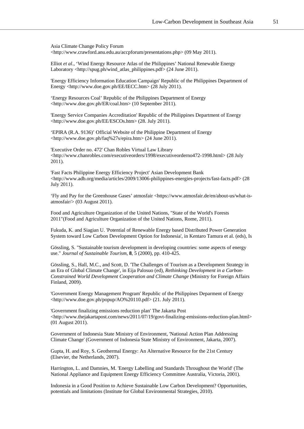Asia Climate Change Policy Forum <http://www.crawford.anu.edu.au/accpforum/presentations.php> (09 May 2011).

Elliot *et al*., 'Wind Energy Resource Atlas of the Philippines' National Renewable Energy Laboratory <http://spug.ph/wind\_atlas\_philippines.pdf> (24 June 2011).

'Energy Efficiency Information Education Campaign' Republic of the Philippines Department of Energy <http://www.doe.gov.ph/EE/IECC.htm> (28 July 2011).

'Energy Resources Coal' Republic of the Philippines Department of Energy <http://www.doe.gov.ph/ER/coal.htm> (10 September 2011).

'Energy Service Companies Accreditation' Republic of the Philippines Department of Energy <http://www.doe.gov.ph/EE/ESCOs.htm> (28. July 2011).

'EPIRA (R.A. 9136)' Official Website of the Philippine Department of Energy <http://www.doe.gov.ph/faq%27s/epira.htm> (24 June 2011).

'Executive Order no. 472' Chan Robles Virtual Law Library <http://www.chanrobles.com/executiveorders/1998/executiveorderno472-1998.html> (28 July 2011).

'Fast Facts Philippine Energy Efficiency Project' Asian Development Bank <http://www.adb.org/media/articles/2009/13006-philippines-energies-projects/fast-facts.pdf> (28 July 2011).

'Fly and Pay for the Greenhouse Gases' atmosfair <https://www.atmosfair.de/en/about-us/what-isatmosfair/> (03 August 2011).

Food and Agriculture Organization of the United Nations, "State of the World's Forests 2011"(Food and Agriculture Organization of the United Nations, Rome, 2011).

Fukuda, K. and Siagian U. 'Potential of Renewable Energy based Distributed Power Generation System toward Low Carbon Development Option for Indonesia', in Kentaro Tamura et al. (eds), Is

Gössling, S. "Sustainable tourism development in developing countries: some aspects of energy use." *Journal of Sustainable Tourism*, **8**, 5 (2000), pp. 410-425.

Gössling, S., Hall, M.C., and Scott, D. 'The Challenges of Tourism as a Development Strategy in an Era of Global Climate Change', in Eija Palosuo (ed), *Rethinking Development in a Carbon-Constrained World Development Cooperation and Climate Change* (Ministry for Foreign Affairs Finland, 2009).

'Government Energy Management Program' Republic of the Philippines Deparment of Energy  $\lt$ http://www.doe.gov.ph/popup/AO%20110.pdf> (21. July 2011).

'Government finalizing emissions reduction plan' The Jakarta Post <http://www.thejakartapost.com/news/2011/07/19/govt-finalizing-emissions-reduction-plan.html> (01 August 2011).

Government of Indonesia State Ministry of Environment, 'National Action Plan Addressing Climate Change' (Government of Indonesia State Ministry of Environment, Jakarta, 2007).

Gupta, H. and Roy, S. Geothermal Energy: An Alternative Resource for the 21st Century (Elsevier, the Netherlands, 2007).

Harrington, L. and Damnies, M. 'Energy Labelling and Standards Throughout the World' (The National Appliance and Equipment Energy Efficiency Committee Australia, Victoria, 2001).

Indonesia in a Good Position to Achieve Sustainable Low Carbon Development? Opportunities, potentials and limitations (Institute for Global Environmental Strategies, 2010).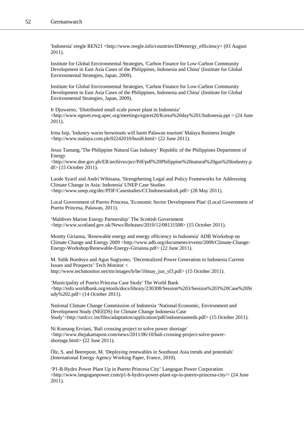'Indonesia' reegle REN21 <http://www.reegle.info/countries/ID#energy\_efficiency> (03 August 2011).

Institute for Global Environmental Strategies, 'Carbon Finance for Low-Carbon Community Development in East Asia Cases of the Philippines, Indonesia and China' (Institute for Global Environmental Strategies, Japan, 2009).

Institute for Global Environmental Strategies, 'Carbon Finance for Low-Carbon Community Development in East Asia Cases of the Philippines, Indonesia and China' (Institute for Global Environmental Strategies, Japan, 2009).

Ir Djuwarno, 'Distributed small scale power plant in Indonesia'  $\langle$ http://www.egnret.ewg.apec.org/meetings/egnret20/Korea%20day%201/Indonesia.ppt  $>$  (24 June 2011).

Irma Isip, 'Industry warns brownouts will harm Palawan tourism' Malaya Business Insight <http://www.malaya.com.ph/02242010/busi8.html> (22 June 2011).

Jesus Tamang,'The Philippine Natural Gas Industry' Republic of the Philippines Department of Energy

 $\langle$ http://www.doe.gov.ph/ER/archives/pcr/Pdf/pdf%20Philippine%20natural%20gas%20industry.p df> (15 October 2011).

Laode Syarif and Andri Wibisana, 'Strengthening Legal and Policy Frameworks for Addressing Climate Change in Asia: Indonesia' UNEP Case Studies <http://www.unep.org/dec/PDF/Casestudies/CCIndonesiadraft.pdf> (28 May 2011).

Local Government of Puerto Princesa, 'Economic Sector Development Plan' (Local Government of Puerto Princesa, Palawan, 2011).

'Maldives Marine Energy Partnership' The Scottish Government <http://www.scotland.gov.uk/News/Releases/2010/12/08131508> (15 October 2011).

Montty Girianna, 'Renewable energy and energy efficiency in Indonesia' ADB Workshop on Climate Change and Energy 2009 <http://www.adb.org/documents/events/2009/Climate-Change-Energy-Workshop/Renewable-Energy-Girianna.pdf> (22 June 2011).

M. Sidik Boedoyo and Agus Sugiyono, 'Decentralized Power Generation in Indonesia Current Issues and Prospects' Tech Monitor < http://www.techmonitor.net/tm/images/b/be/10may\_jun\_sf3.pdf> (15 October 2011).

'Municipality of Puerto Princesa Case Study' The World Bank  $\langle$ http://info.worldbank.org/etools/docs/library/230308/Session%203/Session%203%20Case%20St udy%202.pdf> (14 October 2011).

National Climate Change Commission of Indonesia 'National Economic, Environment and Development Study (NEEDS) for Climate Change Indonesia Case Study'<http://unfccc.int/files/adaptation/application/pdf/indonesianeeds.pdf> (15 October 2011).

Ni Komang Erviani, 'Bali crossing project to solve power shortage' <http://www.thejakartapost.com/news/2011/06/10/bali-crossing-project-solve-powershortage.html> (22 June 2011).

Ölz, S. and Beerepoot, M. 'Deploying renewables in Southeast Asia trends and potentials' (International Energy Agency Working Paper, France, 2010).

'P1-B Hydro Power Plant Up in Puerto Princesa City' Langogan Power Corporation <http://www.langoganpower.com/p1-b-hydro-power-plant-up-in-puerto-princesa-city/> (24 June 2011).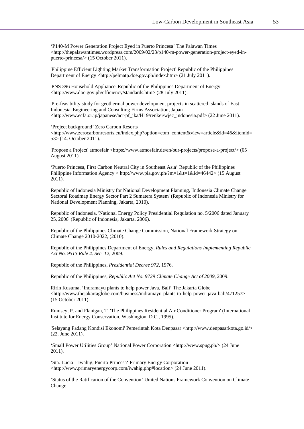'P140-M Power Generation Project Eyed in Puerto Princesa' The Palawan Times <http://thepalawantimes.wordpress.com/2009/02/23/p140-m-power-generation-project-eyed-inpuerto-princesa/> (15 October 2011).

'Philippine Efficient Lighting Market Transformation Project' Republic of the Philippines Department of Energy <http://pelmatp.doe.gov.ph/index.htm> (21 July 2011).

'PNS 396 Household Appliance' Republic of the Philippines Department of Energy <http://www.doe.gov.ph/efficiency/standards.htm> (28 July 2011).

'Pre-feasibility study for geothermal power development projects in scattered islands of East Indonesia' Engineering and Consulting Firms Association, Japan <http://www.ecfa.or.jp/japanese/act-pf\_jka/H19/renkei/wjec\_indonesia.pdf> (22 June 2011).

'Project background' Zero Carbon Resorts <http://www.zerocarbonresorts.eu/index.php?option=com\_content&view=article&id=46&Itemid= 53> (14. October 2011).

'Propose a Project' atmosfair <https://www.atmosfair.de/en/our-projects/propose-a-project/> (05 August 2011).

'Puerto Princesa, First Carbon Neutral City in Southeast Asia' Republic of the Philippines Philippine Information Agency < http://www.pia.gov.ph/?m=1&t=1&id=46442> (15 August 2011).

Republic of Indonesia Ministry for National Development Planning, 'Indonesia Climate Change Sectoral Roadmap Energy Sector Part 2 Sumatera System' (Republic of Indonesia Ministry for National Development Planning, Jakarta, 2010).

Republic of Indonesia, 'National Energy Policy Presidential Regulation no. 5/2006 dated January 25, 2006' (Republic of Indonesia, Jakarta, 2006).

Republic of the Philippines Climate Change Commission, National Framework Strategy on Climate Change 2010-2022, (2010).

Republic of the Philippines Department of Energy, *Rules and Regulations Implementing Republic Act No. 9513 Rule 4. Sec. 12*, 2009.

Republic of the Philippines, *Presidential Decree 972*, 1976.

Republic of the Philippines, *Republic Act No. 9729 Climate Change Act of 2009*, 2009.

Ririn Kusuma, 'Indramayu plants to help power Java, Bali' The Jakarta Globe <http://www.thejakartaglobe.com/business/indramayu-plants-to-help-power-java-bali/471257> (15 October 2011).

Rumsey, P. and Flanigan, T. 'The Philippines Residential Air Conditioner Program' (International Institute for Energy Conservation, Washington, D.C., 1995).

'Selayang Padang Kondisi Ekonomi' Pemerintah Kota Denpasar <http://www.denpasarkota.go.id/> (22. June 2011).

'Small Power Utilities Group' National Power Corporation <http://www.spug.ph/> (24 June 2011).

'Sta. Lucia – Iwahig, Puerto Princesa' Primary Energy Corporation <http://www.primaryenergycorp.com/iwahig.php#location> (24 June 2011).

'Status of the Ratification of the Convention' United Nations Framework Convention on Climate Change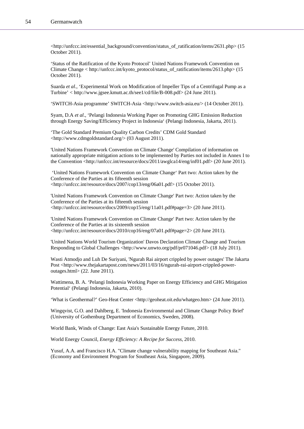<http://unfccc.int/essential\_background/convention/status\_of\_ratification/items/2631.php> (15 October 2011).

'Status of the Ratification of the Kyoto Protocol' United Nations Framework Convention on Climate Change < http://unfccc.int/kyoto\_protocol/status\_of\_ratification/items/2613.php> (15 October 2011).

Suarda *et al*., 'Experimental Work on Modification of Impeller Tips of a Centrifugal Pump as a Turbine' < http://www.jgsee.kmutt.ac.th/see1/cd/file/B-008.pdf> (24 June 2011).

'SWITCH-Asia programme' SWITCH-Asia <http://www.switch-asia.eu/> (14 October 2011).

Syam, D.A *et al*., 'Pelangi Indonesia Working Paper on Promoting GHG Emission Reduction through Energy Saving/Efficiency Project in Indonesia' (Pelangi Indonesia, Jakarta, 2011).

'The Gold Standard Premium Quality Carbon Credits' CDM Gold Standard <http://www.cdmgoldstandard.org/> (03 August 2011).

'United Nations Framework Convention on Climate Change' Compilation of information on nationally appropriate mitigation actions to be implemented by Parties not included in Annex I to the Convention <http://unfccc.int/resource/docs/2011/awglca14/eng/inf01.pdf> (20 June 2011).

 'United Nations Framework Convention on Climate Change' Part two: Action taken by the Conference of the Parties at its fifteenth session <http://unfccc.int/resource/docs/2007/cop13/eng/06a01.pdf> (15 October 2011).

'United Nations Framework Convention on Climate Change' Part two: Action taken by the Conference of the Parties at its fifteenth session <http://unfccc.int/resource/docs/2009/cop15/eng/11a01.pdf#page=3> (20 June 2011).

'United Nations Framework Convention on Climate Change' Part two: Action taken by the Conference of the Parties at its sixteenth session <http://unfccc.int/resource/docs/2010/cop16/eng/07a01.pdf#page=2> (20 June 2011).

'United Nations World Tourism Organization' Davos Declaration Climate Change and Tourism Responding to Global Challenges <http://www.unwto.org/pdf/pr071046.pdf> (18 July 2011).

Wasti Atmodjo and Luh De Suriyani, 'Ngurah Rai airport crippled by power outages' The Jakarta Post <http://www.thejakartapost.com/news/2011/03/16/ngurah-rai-airport-crippled-poweroutages.html> (22. June 2011).

Wattimena, B. A. 'Pelangi Indonesia Working Paper on Energy Efficiency and GHG Mitigation Potential' (Pelangi Indonesia, Jakarta, 2010).

'What is Geothermal?' Geo-Heat Center <http://geoheat.oit.edu/whatgeo.htm> (24 June 2011).

Wingqvist, G.O. and Dahlberg, E. 'Indonesia Environmental and Climate Change Policy Brief' (University of Gothenburg Department of Economics, Sweden, 2008).

World Bank, Winds of Change: East Asia's Sustainable Energy Future, 2010.

World Energy Council, *Energy Efficiency: A Recipe for Success*, 2010.

Yusuf, A.A. and Francisco H.A. "Climate change vulnerability mapping for Southeast Asia." (Economy and Environment Program for Southeast Asia, Singapore, 2009).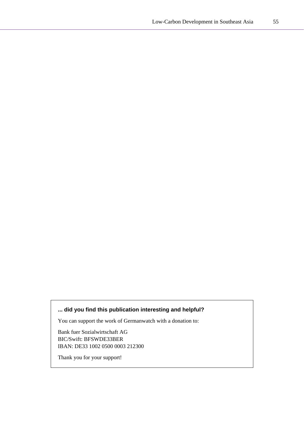# **... did you find this publication interesting and helpful?**

You can support the work of Germanwatch with a donation to:

Bank fuer Sozialwirtschaft AG BIC/Swift: BFSWDE33BER IBAN: DE33 1002 0500 0003 212300

Thank you for your support!